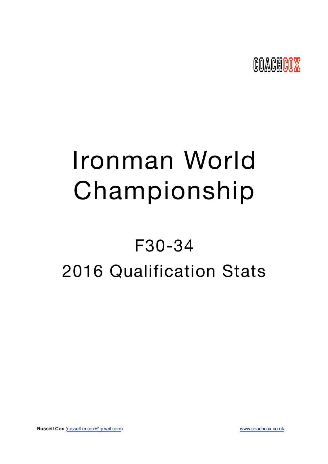

# Ironman World Championship

## F30-34 2016 Qualification Stats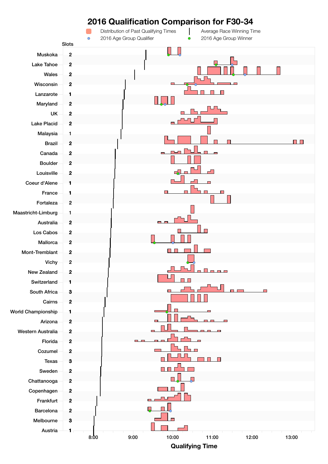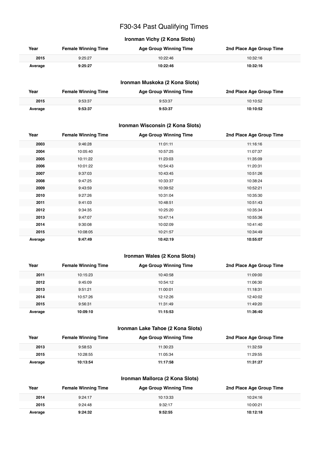## F30-34 Past Qualifying Times

## **Ironman Vichy (2 Kona Slots)**

| Year    | <b>Female Winning Time</b> | <b>Age Group Winning Time</b> | 2nd Place Age Group Time |
|---------|----------------------------|-------------------------------|--------------------------|
| 2015    | 9:25:27                    | 10:22:46                      | 10:32:16                 |
| Average | 9:25:27                    | 10:22:46                      | 10:32:16                 |

#### **Ironman Muskoka (2 Kona Slots)**

| Year    | <b>Female Winning Time</b> | <b>Age Group Winning Time</b> | 2nd Place Age Group Time |
|---------|----------------------------|-------------------------------|--------------------------|
| 2015    | 9:53:37                    | 9:53:37                       | 10:10:52                 |
| Average | 9:53:37                    | 9:53:37                       | 10:10:52                 |

#### **Ironman Wisconsin (2 Kona Slots)**

| Year    | <b>Female Winning Time</b> | <b>Age Group Winning Time</b> | 2nd Place Age Group Time |
|---------|----------------------------|-------------------------------|--------------------------|
| 2003    | 9:46:28                    | 11:01:11                      | 11:16:16                 |
| 2004    | 10:05:40                   | 10:57:25                      | 11:07:37                 |
| 2005    | 10:11:22                   | 11:23:03                      | 11:35:09                 |
| 2006    | 10:01:22                   | 10:54:43                      | 11:20:31                 |
| 2007    | 9:37:03                    | 10:43:45                      | 10:51:26                 |
| 2008    | 9:47:25                    | 10:33:37                      | 10:38:24                 |
| 2009    | 9:43:59                    | 10:39:52                      | 10:52:21                 |
| 2010    | 9:27:26                    | 10:31:04                      | 10:35:30                 |
| 2011    | 9:41:03                    | 10:48:51                      | 10:51:43                 |
| 2012    | 9:34:35                    | 10:25:20                      | 10:35:34                 |
| 2013    | 9:47:07                    | 10:47:14                      | 10:55:36                 |
| 2014    | 9:30:08                    | 10:02:09                      | 10:41:40                 |
| 2015    | 10:08:05                   | 10:21:57                      | 10:34:49                 |
| Average | 9:47:49                    | 10:42:19                      | 10:55:07                 |

#### **Ironman Wales (2 Kona Slots)**

| Year    | <b>Female Winning Time</b> | <b>Age Group Winning Time</b> | 2nd Place Age Group Time |
|---------|----------------------------|-------------------------------|--------------------------|
| 2011    | 10:15:23                   | 10:40:58                      | 11:09:00                 |
| 2012    | 9:45:09                    | 10:54:12                      | 11:06:30                 |
| 2013    | 9:51:21                    | 11:00:01                      | 11:18:31                 |
| 2014    | 10:57:26                   | 12:12:26                      | 12:40:02                 |
| 2015    | 9:56:31                    | 11:31:49                      | 11:49:20                 |
| Average | 10:09:10                   | 11:15:53                      | 11:36:40                 |

#### **Ironman Lake Tahoe (2 Kona Slots)**

| Year    | <b>Female Winning Time</b> | <b>Age Group Winning Time</b> | 2nd Place Age Group Time |
|---------|----------------------------|-------------------------------|--------------------------|
| 2013    | 9:58:53                    | 11:30:23                      | 11:32:59                 |
| 2015    | 10:28:55                   | 11:05:34                      | 11:29:55                 |
| Average | 10:13:54                   | 11:17:58                      | 11:31:27                 |

#### **Ironman Mallorca (2 Kona Slots)**

| Year    | <b>Female Winning Time</b> | <b>Age Group Winning Time</b> | 2nd Place Age Group Time |
|---------|----------------------------|-------------------------------|--------------------------|
| 2014    | 9:24:17                    | 10:13:33                      | 10:24:16                 |
| 2015    | 9:24:48                    | 9:32:17                       | 10:00:21                 |
| Average | 9:24:32                    | 9:52:55                       | 10:12:18                 |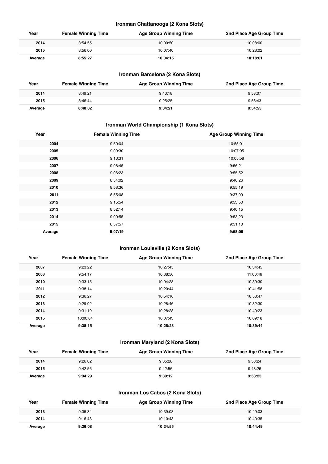#### **Ironman Chattanooga (2 Kona Slots)**

| Year    | <b>Female Winning Time</b> | <b>Age Group Winning Time</b> | 2nd Place Age Group Time |
|---------|----------------------------|-------------------------------|--------------------------|
| 2014    | 8:54:55                    | 10:00:50                      | 10:08:00                 |
| 2015    | 8:56:00                    | 10:07:40                      | 10:28:02                 |
| Average | 8:55:27                    | 10:04:15                      | 10:18:01                 |

## **Ironman Barcelona (2 Kona Slots)**

| Year    | <b>Female Winning Time</b> | <b>Age Group Winning Time</b> | 2nd Place Age Group Time |
|---------|----------------------------|-------------------------------|--------------------------|
| 2014    | 8:49:21                    | 9:43:18                       | 9:53:07                  |
| 2015    | 8:46:44                    | 9:25:25                       | 9:56:43                  |
| Average | 8:48:02                    | 9:34:21                       | 9:54:55                  |

## **Ironman World Championship (1 Kona Slots)**

| Year    | <b>Female Winning Time</b> | <b>Age Group Winning Time</b> |
|---------|----------------------------|-------------------------------|
| 2004    | 9:50:04                    | 10:55:01                      |
| 2005    | 9:09:30                    | 10:07:05                      |
| 2006    | 9:18:31                    | 10:05:58                      |
| 2007    | 9:08:45                    | 9:56:21                       |
| 2008    | 9:06:23                    | 9:55:52                       |
| 2009    | 8:54:02                    | 9:46:26                       |
| 2010    | 8:58:36                    | 9:55:19                       |
| 2011    | 8:55:08                    | 9:37:09                       |
| 2012    | 9:15:54                    | 9:53:50                       |
| 2013    | 8:52:14                    | 9:40:15                       |
| 2014    | 9:00:55                    | 9:53:23                       |
| 2015    | 8:57:57                    | 9:51:10                       |
| Average | 9:07:19                    | 9:58:09                       |

### **Ironman Louisville (2 Kona Slots)**

| Year    | <b>Female Winning Time</b> | <b>Age Group Winning Time</b> | 2nd Place Age Group Time |
|---------|----------------------------|-------------------------------|--------------------------|
| 2007    | 9:23:22                    | 10:27:45                      | 10:34:45                 |
| 2008    | 9:54:17                    | 10:38:56                      | 11:00:46                 |
| 2010    | 9:33:15                    | 10:04:28                      | 10:39:30                 |
| 2011    | 9:38:14                    | 10:20:44                      | 10:41:58                 |
| 2012    | 9:36:27                    | 10:54:16                      | 10:58:47                 |
| 2013    | 9:29:02                    | 10:28:46                      | 10:32:30                 |
| 2014    | 9:31:19                    | 10:28:28                      | 10:40:23                 |
| 2015    | 10:00:04                   | 10:07:43                      | 10:09:18                 |
| Average | 9:38:15                    | 10:26:23                      | 10:39:44                 |

## **Ironman Maryland (2 Kona Slots)**

| Year    | <b>Female Winning Time</b> | <b>Age Group Winning Time</b> | 2nd Place Age Group Time |
|---------|----------------------------|-------------------------------|--------------------------|
| 2014    | 9:26:02                    | 9:35:28                       | 9:58:24                  |
| 2015    | 9:42:56                    | 9:42:56                       | 9:48:26                  |
| Average | 9:34:29                    | 9:39:12                       | 9:53:25                  |

## **Ironman Los Cabos (2 Kona Slots)**

| Year    | <b>Female Winning Time</b> | Age Group Winning Time | 2nd Place Age Group Time |
|---------|----------------------------|------------------------|--------------------------|
| 2013    | 9:35:34                    | 10:39:08               | 10:49:03                 |
| 2014    | 9:16:43                    | 10:10:43               | 10:40:35                 |
| Average | 9:26:08                    | 10:24:55               | 10:44:49                 |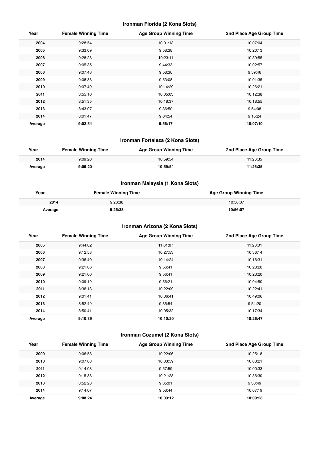#### **Ironman Florida (2 Kona Slots)**

| Year    | <b>Female Winning Time</b> | <b>Age Group Winning Time</b> | 2nd Place Age Group Time |
|---------|----------------------------|-------------------------------|--------------------------|
| 2004    | 9:28:54                    | 10:01:13                      | 10:07:04                 |
| 2005    | 9:33:09                    | 9:58:38                       | 10:20:13                 |
| 2006    | 9:28:28                    | 10:23:11                      | 10:39:55                 |
| 2007    | 9:05:35                    | 9:44:33                       | 10:02:57                 |
| 2008    | 9:07:48                    | 9:58:36                       | 9:59:46                  |
| 2009    | 9:08:38                    | 9:53:08                       | 10:01:35                 |
| 2010    | 9:07:49                    | 10:14:29                      | 10:26:21                 |
| 2011    | 8:55:10                    | 10:05:03                      | 10:12:38                 |
| 2012    | 8:51:35                    | 10:18:37                      | 10:18:55                 |
| 2013    | 8:43:07                    | 9:36:50                       | 9:54:08                  |
| 2014    | 8:01:47                    | 9:04:54                       | 9:15:24                  |
| Average | 9:02:54                    | 9:56:17                       | 10:07:10                 |

## **Ironman Fortaleza (2 Kona Slots)**

| Year    | <b>Female Winning Time</b> | <b>Age Group Winning Time</b> | 2nd Place Age Group Time |
|---------|----------------------------|-------------------------------|--------------------------|
| 2014    | 9:09:20                    | 10:59:54                      | 11:26:35                 |
| Average | 9:09:20                    | 10:59:54                      | 11:26:35                 |

## **Ironman Malaysia (1 Kona Slots)**

| Year    | <b>Female Winning Time</b> | <b>Age Group Winning Time</b> |
|---------|----------------------------|-------------------------------|
| 2014    | 9:26:38                    | 10:56:07                      |
| Average | 9:26:38                    | 10:56:07                      |

## **Ironman Arizona (2 Kona Slots)**

| Year    | <b>Female Winning Time</b> | <b>Age Group Winning Time</b> | 2nd Place Age Group Time |
|---------|----------------------------|-------------------------------|--------------------------|
| 2005    | 9:44:02                    | 11:01:07                      | 11:20:01                 |
| 2006    | 9:12:53                    | 10:27:53                      | 10:36:14                 |
| 2007    | 9:36:40                    | 10:14:24                      | 10:16:31                 |
| 2008    | 9:21:06                    | 9:56:41                       | 10:23:20                 |
| 2009    | 9:21:06                    | 9:56:41                       | 10:23:20                 |
| 2010    | 9:09:19                    | 9:56:21                       | 10:04:50                 |
| 2011    | 8:36:13                    | 10:22:09                      | 10:22:41                 |
| 2012    | 9:01:41                    | 10:06:41                      | 10:49:06                 |
| 2013    | 8:52:49                    | 9:35:54                       | 9:54:20                  |
| 2014    | 8:50:41                    | 10:05:32                      | 10:17:34                 |
| Average | 9:10:39                    | 10:10:20                      | 10:26:47                 |

## **Ironman Cozumel (2 Kona Slots)**

| Year    | <b>Female Winning Time</b> | <b>Age Group Winning Time</b> | 2nd Place Age Group Time |
|---------|----------------------------|-------------------------------|--------------------------|
| 2009    | 9:06:58                    | 10:22:06                      | 10:25:18                 |
| 2010    | 9:07:08                    | 10:03:59                      | 10:08:21                 |
| 2011    | 9:14:08                    | 9:57:59                       | 10:00:33                 |
| 2012    | 9:15:38                    | 10:21:28                      | 10:36:30                 |
| 2013    | 8:52:28                    | 9:35:01                       | 9:38:49                  |
| 2014    | 9:14:07                    | 9:58:44                       | 10:07:19                 |
| Average | 9:08:24                    | 10:03:12                      | 10:09:28                 |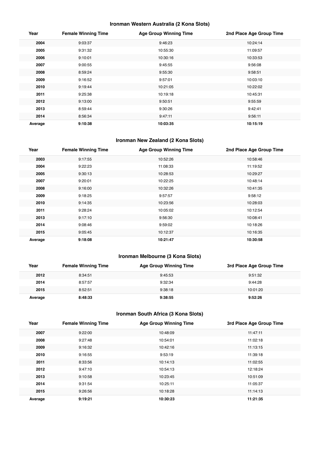## **Ironman Western Australia (2 Kona Slots)**

| Year    | <b>Female Winning Time</b> | <b>Age Group Winning Time</b> | 2nd Place Age Group Time |
|---------|----------------------------|-------------------------------|--------------------------|
| 2004    | 9:03:37                    | 9:46:23                       | 10:24:14                 |
| 2005    | 9:31:32                    | 10:55:30                      | 11:09:57                 |
| 2006    | 9:10:01                    | 10:30:16                      | 10:33:53                 |
| 2007    | 9:00:55                    | 9:45:55                       | 9:56:08                  |
| 2008    | 8:59:24                    | 9:55:30                       | 9:58:51                  |
| 2009    | 9:16:52                    | 9:57:01                       | 10:03:10                 |
| 2010    | 9:19:44                    | 10:21:05                      | 10:22:02                 |
| 2011    | 9:25:38                    | 10:19:18                      | 10:45:31                 |
| 2012    | 9:13:00                    | 9:50:51                       | 9:55:59                  |
| 2013    | 8:59:44                    | 9:30:26                       | 9:42:41                  |
| 2014    | 8:56:34                    | 9:47:11                       | 9:56:11                  |
| Average | 9:10:38                    | 10:03:35                      | 10:15:19                 |

#### **Ironman New Zealand (2 Kona Slots)**

| Year    | <b>Female Winning Time</b> | <b>Age Group Winning Time</b> | 2nd Place Age Group Time |
|---------|----------------------------|-------------------------------|--------------------------|
| 2003    | 9:17:55                    | 10:52:26                      | 10:58:46                 |
| 2004    | 9:22:23                    | 11:08:33                      | 11:19:52                 |
| 2005    | 9:30:13                    | 10:28:53                      | 10:29:27                 |
| 2007    | 9:20:01                    | 10:22:25                      | 10:48:14                 |
| 2008    | 9:16:00                    | 10:32:26                      | 10:41:35                 |
| 2009    | 9:18:25                    | 9:57:57                       | 9:58:12                  |
| 2010    | 9:14:35                    | 10:23:56                      | 10:28:03                 |
| 2011    | 9:28:24                    | 10:05:02                      | 10:12:54                 |
| 2013    | 9:17:10                    | 9:56:30                       | 10:08:41                 |
| 2014    | 9:08:46                    | 9:59:02                       | 10:18:26                 |
| 2015    | 9:05:45                    | 10:12:37                      | 10:16:35                 |
| Average | 9:18:08                    | 10:21:47                      | 10:30:58                 |

## **Ironman Melbourne (3 Kona Slots)**

| Year    | <b>Female Winning Time</b> | <b>Age Group Winning Time</b> | 3rd Place Age Group Time |
|---------|----------------------------|-------------------------------|--------------------------|
| 2012    | 8:34:51                    | 9:45:53                       | 9:51:32                  |
| 2014    | 8:57:57                    | 9:32:34                       | 9:44:28                  |
| 2015    | 8:52:51                    | 9:38:18                       | 10:01:20                 |
| Average | 8:48:33                    | 9:38:55                       | 9:52:26                  |

## **Ironman South Africa (3 Kona Slots)**

| Year    | <b>Female Winning Time</b> | <b>Age Group Winning Time</b> | 3rd Place Age Group Time |
|---------|----------------------------|-------------------------------|--------------------------|
| 2007    | 9:22:00                    | 10:48:09                      | 11:47:11                 |
| 2008    | 9:27:48                    | 10:54:01                      | 11:02:18                 |
| 2009    | 9:16:32                    | 10:42:16                      | 11:13:15                 |
| 2010    | 9:16:55                    | 9:53:19                       | 11:39:18                 |
| 2011    | 8:33:56                    | 10:14:13                      | 11:02:55                 |
| 2012    | 9:47:10                    | 10:54:13                      | 12:18:24                 |
| 2013    | 9:10:58                    | 10:23:45                      | 10:51:09                 |
| 2014    | 9:31:54                    | 10:25:11                      | 11:05:37                 |
| 2015    | 9:26:56                    | 10:18:28                      | 11:14:13                 |
| Average | 9:19:21                    | 10:30:23                      | 11:21:35                 |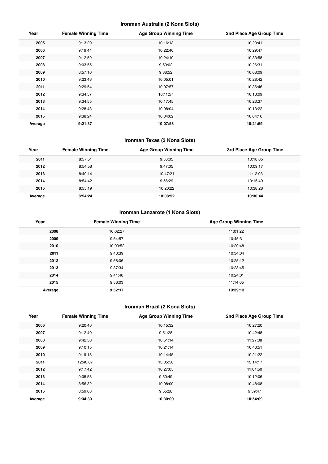## **Ironman Australia (2 Kona Slots)**

| Year    | <b>Female Winning Time</b> | <b>Age Group Winning Time</b> | 2nd Place Age Group Time |
|---------|----------------------------|-------------------------------|--------------------------|
| 2005    | 9:13:20                    | 10:16:13                      | 10:23:41                 |
| 2006    | 9:19:44                    | 10:22:40                      | 10:29:47                 |
| 2007    | 9:12:59                    | 10:24:19                      | 10:33:58                 |
| 2008    | 9:03:55                    | 9:50:02                       | 10:26:31                 |
| 2009    | 8:57:10                    | 9:38:52                       | 10:08:09                 |
| 2010    | 9:23:46                    | 10:05:01                      | 10:28:42                 |
| 2011    | 9:29:54                    | 10:07:57                      | 10:36:46                 |
| 2012    | 9:34:57                    | 10:11:57                      | 10:13:09                 |
| 2013    | 9:34:55                    | 10:17:45                      | 10:23:37                 |
| 2014    | 9:28:43                    | 10:08:04                      | 10:13:22                 |
| 2015    | 9:38:24                    | 10:04:02                      | 10:04:16                 |
| Average | 9:21:37                    | 10:07:53                      | 10:21:59                 |

## **Ironman Texas (3 Kona Slots)**

| Year    | <b>Female Winning Time</b> | <b>Age Group Winning Time</b> | 3rd Place Age Group Time |
|---------|----------------------------|-------------------------------|--------------------------|
| 2011    | 8:57:51                    | 9:53:05                       | 10:18:05                 |
| 2012    | 8:54:58                    | 9:47:05                       | 10:09:17                 |
| 2013    | 8:49:14                    | 10:47:21                      | 11:12:03                 |
| 2014    | 8:54:42                    | 9:56:29                       | 10:15:49                 |
| 2015    | 8:55:19                    | 10:20:22                      | 10:38:28                 |
| Average | 8:54:24                    | 10:08:52                      | 10:30:44                 |

## **Ironman Lanzarote (1 Kona Slots)**

| Year    | <b>Female Winning Time</b> | <b>Age Group Winning Time</b> |
|---------|----------------------------|-------------------------------|
| 2008    | 10:02:27                   | 11:01:22                      |
| 2009    | 9:54:57                    | 10:45:31                      |
| 2010    | 10:03:52                   | 10:20:48                      |
| 2011    | 9:43:39                    | 10:34:04                      |
| 2012    | 9:58:06                    | 10:25:12                      |
| 2013    | 9:37:34                    | 10:28:45                      |
| 2014    | 9:41:40                    | 10:24:01                      |
| 2015    | 9:56:03                    | 11:14:05                      |
| Average | 9:52:17                    | 10:39:13                      |

## **Ironman Brazil (2 Kona Slots)**

| Year    | <b>Female Winning Time</b> | <b>Age Group Winning Time</b> | 2nd Place Age Group Time |
|---------|----------------------------|-------------------------------|--------------------------|
| 2006    | 9:20:46                    | 10:15:32                      | 10:27:20                 |
| 2007    | 9:12:40                    | 9:51:28                       | 10:42:48                 |
| 2008    | 9:42:50                    | 10:51:14                      | 11:27:08                 |
| 2009    | 9:10:15                    | 10:21:14                      | 10:43:51                 |
| 2010    | 9:19:13                    | 10:14:45                      | 10:21:22                 |
| 2011    | 12:40:07                   | 13:05:58                      | 13:14:17                 |
| 2012    | 9:17:42                    | 10:27:05                      | 11:04:50                 |
| 2013    | 9:05:53                    | 9:50:49                       | 10:12:06                 |
| 2014    | 8:56:32                    | 10:08:00                      | 10:48:08                 |
| 2015    | 8:59:08                    | 9:55:28                       | 9:59:47                  |
| Average | 9:34:30                    | 10:30:09                      | 10:54:09                 |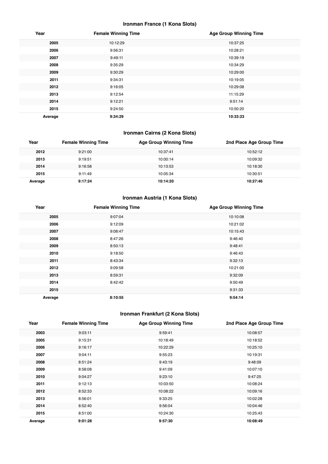## **Ironman France (1 Kona Slots)**

| Year    | <b>Female Winning Time</b> | <b>Age Group Winning Time</b> |
|---------|----------------------------|-------------------------------|
| 2005    | 10:12:29                   | 10:37:25                      |
| 2006    | 9:56:31                    | 10:28:21                      |
| 2007    | 9:49:11                    | 10:39:19                      |
| 2008    | 9:35:29                    | 10:34:29                      |
| 2009    | 9:30:29                    | 10:29:00                      |
| 2011    | 9:34:31                    | 10:19:05                      |
| 2012    | 9:16:05                    | 10:29:08                      |
| 2013    | 9:12:54                    | 11:15:29                      |
| 2014    | 9:12:21                    | 9:51:14                       |
| 2015    | 9:24:50                    | 10:50:20                      |
| Average | 9:34:29                    | 10:33:23                      |

## **Ironman Cairns (2 Kona Slots)**

| Year    | <b>Female Winning Time</b> | <b>Age Group Winning Time</b> | 2nd Place Age Group Time |
|---------|----------------------------|-------------------------------|--------------------------|
| 2012    | 9:21:00                    | 10:37:41                      | 10:52:12                 |
| 2013    | 9:19:51                    | 10:00:14                      | 10:09:32                 |
| 2014    | 9:16:58                    | 10:13:53                      | 10:18:30                 |
| 2015    | 9:11:49                    | 10:05:34                      | 10:30:51                 |
| Average | 9:17:24                    | 10:14:20                      | 10:27:46                 |

## **Ironman Austria (1 Kona Slots)**

| Year    | <b>Female Winning Time</b> | <b>Age Group Winning Time</b> |
|---------|----------------------------|-------------------------------|
| 2005    | 9:07:04                    | 10:10:08                      |
| 2006    | 9:12:09                    | 10:21:02                      |
| 2007    | 9:08:47                    | 10:15:43                      |
| 2008    | 8:47:26                    | 9:46:40                       |
| 2009    | 8:50:13                    | 9:48:41                       |
| 2010    | 9:18:50                    | 9:46:43                       |
| 2011    | 8:43:34                    | 9:32:13                       |
| 2012    | 9:09:58                    | 10:21:00                      |
| 2013    | 8:59:31                    | 9:32:09                       |
| 2014    | 8:42:42                    | 9:50:49                       |
| 2015    |                            | 9:31:33                       |
| Average | 8:10:55                    | 9:54:14                       |

## **Ironman Frankfurt (2 Kona Slots)**

| Year    | <b>Female Winning Time</b> | <b>Age Group Winning Time</b> | 2nd Place Age Group Time |
|---------|----------------------------|-------------------------------|--------------------------|
| 2003    | 9:03:11                    | 9:59:41                       | 10:08:57                 |
| 2005    | 9:15:31                    | 10:18:49                      | 10:18:52                 |
| 2006    | 9:16:17                    | 10:22:29                      | 10:25:10                 |
| 2007    | 9:04:11                    | 9:55:23                       | 10:19:31                 |
| 2008    | 8:51:24                    | 9:43:19                       | 9:48:09                  |
| 2009    | 8:58:08                    | 9:41:09                       | 10:07:10                 |
| 2010    | 9:04:27                    | 9:23:10                       | 9:47:25                  |
| 2011    | 9:12:13                    | 10:03:50                      | 10:08:24                 |
| 2012    | 8:52:33                    | 10:08:22                      | 10:09:16                 |
| 2013    | 8:56:01                    | 9:33:25                       | 10:02:28                 |
| 2014    | 8:52:40                    | 9:56:04                       | 10:04:46                 |
| 2015    | 8:51:00                    | 10:24:30                      | 10:25:43                 |
| Average | 9:01:28                    | 9:57:30                       | 10:08:49                 |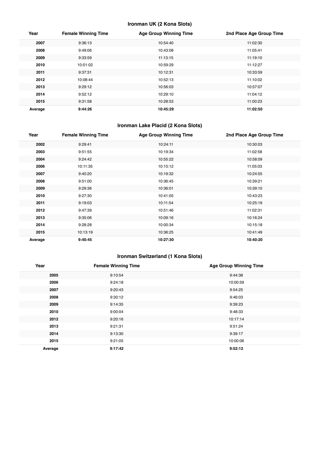## **Ironman UK (2 Kona Slots)**

| Year    | <b>Female Winning Time</b> | <b>Age Group Winning Time</b> | 2nd Place Age Group Time |
|---------|----------------------------|-------------------------------|--------------------------|
| 2007    | 9:36:13                    | 10:54:40                      | 11:02:30                 |
| 2008    | 9:49:06                    | 10:43:08                      | 11:05:41                 |
| 2009    | 9:33:59                    | 11:13:15                      | 11:19:10                 |
| 2010    | 10:01:02                   | 10:59:29                      | 11:12:27                 |
| 2011    | 9:37:31                    | 10:12:31                      | 10:33:59                 |
| 2012    | 10:08:44                   | 10:52:13                      | 11:10:02                 |
| 2013    | 9:29:12                    | 10:56:03                      | 10:57:07                 |
| 2014    | 9:52:12                    | 10:29:10                      | 11:04:12                 |
| 2015    | 9:31:58                    | 10:28:53                      | 11:00:23                 |
| Average | 9:44:26                    | 10:45:29                      | 11:02:50                 |

## **Ironman Lake Placid (2 Kona Slots)**

| Year    | <b>Female Winning Time</b> | <b>Age Group Winning Time</b> | 2nd Place Age Group Time |
|---------|----------------------------|-------------------------------|--------------------------|
| 2002    | 9:29:41                    | 10:24:11                      | 10:30:03                 |
| 2003    | 9:51:55                    | 10:19:34                      | 11:02:58                 |
| 2004    | 9:24:42                    | 10:55:22                      | 10:58:09                 |
| 2006    | 10:11:35                   | 10:15:12                      | 11:05:03                 |
| 2007    | 9:40:20                    | 10:19:32                      | 10:24:55                 |
| 2008    | 9:51:00                    | 10:36:45                      | 10:39:21                 |
| 2009    | 9:29:36                    | 10:36:01                      | 10:39:10                 |
| 2010    | 9:27:30                    | 10:41:05                      | 10:43:23                 |
| 2011    | 9:19:03                    | 10:11:54                      | 10:25:19                 |
| 2012    | 9:47:39                    | 10:51:46                      | 11:02:31                 |
| 2013    | 9:35:06                    | 10:09:16                      | 10:16:24                 |
| 2014    | 9:28:28                    | 10:00:34                      | 10:15:18                 |
| 2015    | 10:13:19                   | 10:36:25                      | 10:41:49                 |
| Average | 9:40:45                    | 10:27:30                      | 10:40:20                 |

## **Ironman Switzerland (1 Kona Slots)**

| Year    | <b>Female Winning Time</b> | <b>Age Group Winning Time</b> |
|---------|----------------------------|-------------------------------|
| 2005    | 9:10:54                    | 9:44:38                       |
| 2006    | 9:24:18                    | 10:00:59                      |
| 2007    | 9:20:43                    | 9:54:25                       |
| 2008    | 9:30:12                    | 9:46:03                       |
| 2009    | 9:14:35                    | 9:39:23                       |
| 2010    | 9:00:04                    | 9:48:33                       |
| 2012    | 9:20:16                    | 10:17:14                      |
| 2013    | 9:21:31                    | 9:51:24                       |
| 2014    | 9:13:30                    | 9:39:17                       |
| 2015    | 9:21:05                    | 10:00:06                      |
| Average | 9:17:42                    | 9:52:12                       |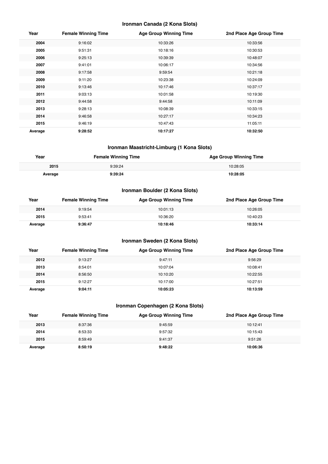#### **Ironman Canada (2 Kona Slots)**

| Year    | <b>Female Winning Time</b> | <b>Age Group Winning Time</b> | 2nd Place Age Group Time |
|---------|----------------------------|-------------------------------|--------------------------|
| 2004    | 9:16:02                    | 10:33:26                      | 10:33:56                 |
| 2005    | 9:51:31                    | 10:18:16                      | 10:30:53                 |
| 2006    | 9:25:13                    | 10:39:39                      | 10:48:07                 |
| 2007    | 9:41:01                    | 10:06:17                      | 10:34:56                 |
| 2008    | 9:17:58                    | 9:59:54                       | 10:21:18                 |
| 2009    | 9:11:20                    | 10:23:38                      | 10:24:09                 |
| 2010    | 9:13:46                    | 10:17:46                      | 10:37:17                 |
| 2011    | 9:03:13                    | 10:01:58                      | 10:19:30                 |
| 2012    | 9:44:58                    | 9:44:58                       | 10:11:09                 |
| 2013    | 9:28:13                    | 10:08:39                      | 10:33:15                 |
| 2014    | 9:46:58                    | 10:27:17                      | 10:34:23                 |
| 2015    | 9:46:19                    | 10:47:43                      | 11:05:11                 |
| Average | 9:28:52                    | 10:17:27                      | 10:32:50                 |

#### **Ironman Maastricht-Limburg (1 Kona Slots)**

| Year    | <b>Female Winning Time</b> | <b>Age Group Winning Time</b> |
|---------|----------------------------|-------------------------------|
| 2015    | 9:39:24                    | 10:28:05                      |
| Average | 1-39-24                    | 10:28:05                      |

## **Ironman Boulder (2 Kona Slots)**

| Year    | <b>Female Winning Time</b> | <b>Age Group Winning Time</b> | 2nd Place Age Group Time |
|---------|----------------------------|-------------------------------|--------------------------|
| 2014    | 9:19:54                    | 10:01:13                      | 10:26:05                 |
| 2015    | 9:53:41                    | 10:36:20                      | 10:40:23                 |
| Average | 9:36:47                    | 10:18:46                      | 10:33:14                 |

## **Ironman Sweden (2 Kona Slots)**

| Year    | <b>Female Winning Time</b> | Age Group Winning Time | 2nd Place Age Group Time |
|---------|----------------------------|------------------------|--------------------------|
| 2012    | 9:13:27                    | 9:47:11                | 9:56:29                  |
| 2013    | 8:54:01                    | 10:07:04               | 10:08:41                 |
| 2014    | 8:56:50                    | 10:10:20               | 10:22:55                 |
| 2015    | 9:12:27                    | 10:17:00               | 10:27:51                 |
| Average | 9:04:11                    | 10:05:23               | 10:13:59                 |

## **Ironman Copenhagen (2 Kona Slots)**

| Year    | <b>Female Winning Time</b> | <b>Age Group Winning Time</b> | 2nd Place Age Group Time |
|---------|----------------------------|-------------------------------|--------------------------|
| 2013    | 8:37:36                    | 9:45:59                       | 10:12:41                 |
| 2014    | 8:53:33                    | 9:57:32                       | 10:15:43                 |
| 2015    | 8:59:49                    | 9:41:37                       | 9:51:26                  |
| Average | 8:50:19                    | 9:48:22                       | 10:06:36                 |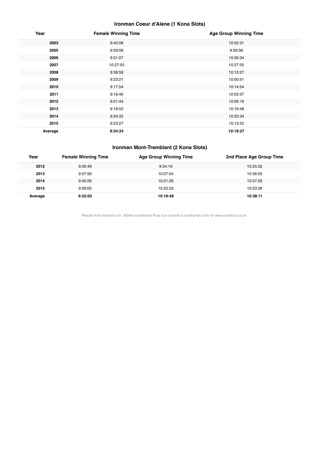## **Ironman Coeur d'Alene (1 Kona Slots)**

| Year    | <b>Female Winning Time</b> | <b>Age Group Winning Time</b> |
|---------|----------------------------|-------------------------------|
| 2003    | 9:42:08                    | 10:52:31                      |
| 2005    | 9:59:08                    | 9:59:08                       |
| 2006    | 9:31:07                    | 10:35:34                      |
| 2007    | 10:27:55                   | 10:27:55                      |
| 2008    | 9:38:58                    | 10:13:27                      |
| 2009    | 9:23:21                    | 10:00:51                      |
| 2010    | 9:17:54                    | 10:14:54                      |
| 2011    | 9:16:40                    | 10:03:37                      |
| 2012    | 9:21:44                    | 10:09:19                      |
| 2013    | 9:16:02                    | 10:16:48                      |
| 2014    | 9:34:32                    | 10:33:34                      |
| 2015    | 9:23:27                    | 10:13:52                      |
| Average | 9:34:24                    | 10:18:27                      |

#### **Ironman Mont-Tremblant (2 Kona Slots)**

| Year    | <b>Female Winning Time</b> | <b>Age Group Winning Time</b> | 2nd Place Age Group Time |
|---------|----------------------------|-------------------------------|--------------------------|
| 2012    | 9:30:46                    | 9:54:19                       | 10:25:32                 |
| 2013    | 9:07:56                    | 10:07:04                      | 10:36:05                 |
| 2014    | 9:40:26                    | 10:21:29                      | 10:37:29                 |
| 2015    | 9:09:05                    | 10:52:23                      | 10:53:39                 |
| Average | 9:22:03                    | 10:18:48                      | 10:38:11                 |

Results from Ironman.com. Tables compiled by Russ Cox (russell.m.cox@gmail.com) for www.coachcox.co.uk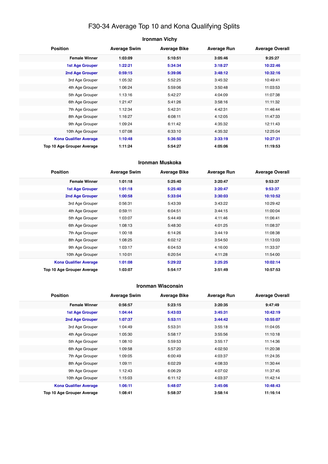## F30-34 Average Top 10 and Kona Qualifying Splits

| <b>Ironman Vichy</b> |  |
|----------------------|--|
|----------------------|--|

| <b>Position</b>               | <b>Average Swim</b> | <b>Average Bike</b> | <b>Average Run</b> | <b>Average Overall</b> |
|-------------------------------|---------------------|---------------------|--------------------|------------------------|
| <b>Female Winner</b>          | 1:03:09             | 5:10:51             | 3:05:46            | 9:25:27                |
| <b>1st Age Grouper</b>        | 1:22:21             | 5:34:34             | 3:18:27            | 10:22:46               |
| 2nd Age Grouper               | 0:59:15             | 5:39:06             | 3:48:12            | 10:32:16               |
| 3rd Age Grouper               | 1:05:32             | 5:52:25             | 3:45:32            | 10:49:41               |
| 4th Age Grouper               | 1:06:24             | 5:59:06             | 3:50:48            | 11:03:53               |
| 5th Age Grouper               | 1:13:16             | 5:42:27             | 4:04:09            | 11:07:38               |
| 6th Age Grouper               | 1:21:47             | 5:41:26             | 3:58:16            | 11:11:32               |
| 7th Age Grouper               | 1:12:34             | 5:42:31             | 4:42:31            | 11:46:44               |
| 8th Age Grouper               | 1:16:27             | 6:08:11             | 4:12:05            | 11:47:33               |
| 9th Age Grouper               | 1:09:24             | 6:11:42             | 4:35:32            | 12:11:43               |
| 10th Age Grouper              | 1:07:08             | 6:33:10             | 4:35:32            | 12:25:04               |
| <b>Kona Qualifier Average</b> | 1:10:48             | 5:36:50             | 3:33:19            | 10:27:31               |
| Top 10 Age Grouper Average    | 1:11:24             | 5:54:27             | 4:05:06            | 11:19:53               |

#### **Ironman Muskoka**

| <b>Position</b>                   | <b>Average Swim</b> | <b>Average Bike</b> | <b>Average Run</b> | <b>Average Overall</b> |
|-----------------------------------|---------------------|---------------------|--------------------|------------------------|
| <b>Female Winner</b>              | 1:01:18             | 5:25:40             | 3:20:47            | 9:53:37                |
| <b>1st Age Grouper</b>            | 1:01:18             | 5:25:40             | 3:20:47            | 9:53:37                |
| 2nd Age Grouper                   | 1:00:58             | 5:33:04             | 3:30:03            | 10:10:52               |
| 3rd Age Grouper                   | 0:56:31             | 5:43:39             | 3:43:22            | 10:29:42               |
| 4th Age Grouper                   | 0:59:11             | 6:04:51             | 3:44:15            | 11:00:04               |
| 5th Age Grouper                   | 1:03:07             | 5:44:49             | 4:11:46            | 11:06:41               |
| 6th Age Grouper                   | 1:08:13             | 5:48:30             | 4:01:25            | 11:08:37               |
| 7th Age Grouper                   | 1:00:18             | 6:14:26             | 3:44:19            | 11:08:38               |
| 8th Age Grouper                   | 1:08:25             | 6:02:12             | 3:54:50            | 11:13:03               |
| 9th Age Grouper                   | 1:03:17             | 6:04:53             | 4:16:00            | 11:33:37               |
| 10th Age Grouper                  | 1:10:01             | 6:20:54             | 4:11:28            | 11:54:00               |
| <b>Kona Qualifier Average</b>     | 1:01:08             | 5:29:22             | 3:25:25            | 10:02:14               |
| <b>Top 10 Age Grouper Average</b> | 1:03:07             | 5:54:17             | 3:51:49            | 10:57:53               |

#### **Ironman Wisconsin**

| <b>Position</b>               | <b>Average Swim</b> | <b>Average Bike</b> | <b>Average Run</b> | <b>Average Overall</b> |
|-------------------------------|---------------------|---------------------|--------------------|------------------------|
| <b>Female Winner</b>          | 0:56:57             | 5:23:15             | 3:20:35            | 9:47:49                |
| <b>1st Age Grouper</b>        | 1:04:44             | 5:43:03             | 3:45:31            | 10:42:19               |
| <b>2nd Age Grouper</b>        | 1:07:37             | 5:53:11             | 3:44:42            | 10:55:07               |
| 3rd Age Grouper               | 1:04:49             | 5:53:31             | 3:55:18            | 11:04:05               |
| 4th Age Grouper               | 1:05:30             | 5:58:17             | 3:55:56            | 11:10:18               |
| 5th Age Grouper               | 1:08:10             | 5:59:53             | 3:55:17            | 11:14:36               |
| 6th Age Grouper               | 1:09:58             | 5:57:20             | 4:02:50            | 11:20:38               |
| 7th Age Grouper               | 1:09:05             | 6:00:49             | 4:03:37            | 11:24:35               |
| 8th Age Grouper               | 1:09:11             | 6:02:29             | 4:08:33            | 11:30:44               |
| 9th Age Grouper               | 1:12:43             | 6:06:29             | 4:07:02            | 11:37:45               |
| 10th Age Grouper              | 1:15:03             | 6:11:12             | 4:03:37            | 11:42:14               |
| <b>Kona Qualifier Average</b> | 1:06:11             | 5:48:07             | 3:45:06            | 10:48:43               |
| Top 10 Age Grouper Average    | 1:08:41             | 5:58:37             | 3:58:14            | 11:16:14               |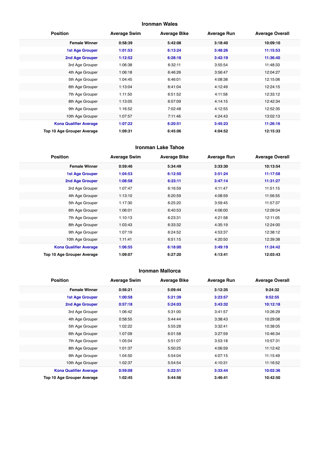#### **Ironman Wales**

| <b>Position</b>               | <b>Average Swim</b> | <b>Average Bike</b> | <b>Average Run</b> | <b>Average Overall</b> |
|-------------------------------|---------------------|---------------------|--------------------|------------------------|
| <b>Female Winner</b>          | 0:58:39             | 5:42:08             | 3:18:40            | 10:09:10               |
| <b>1st Age Grouper</b>        | 1:01:53             | 6:13:24             | 3:48:26            | 11:15:53               |
| 2nd Age Grouper               | 1:12:52             | 6:28:18             | 3:42:19            | 11:36:40               |
| 3rd Age Grouper               | 1:06:38             | 6:32:11             | 3:55:54            | 11:48:33               |
| 4th Age Grouper               | 1:06:18             | 6:46:26             | 3:56:47            | 12:04:27               |
| 5th Age Grouper               | 1:04:45             | 6:46:01             | 4:08:38            | 12:15:06               |
| 6th Age Grouper               | 1:13:04             | 6:41:04             | 4:12:49            | 12:24:15               |
| 7th Age Grouper               | 1:11:50             | 6:51:52             | 4:11:58            | 12:33:12               |
| 8th Age Grouper               | 1:13:05             | 6:57:09             | 4:14:15            | 12:42:34               |
| 9th Age Grouper               | 1:16:52             | 7:02:48             | 4:12:55            | 12:52:35               |
| 10th Age Grouper              | 1:07:57             | 7:11:46             | 4:24:43            | 13:02:13               |
| <b>Kona Qualifier Average</b> | 1:07:22             | 6:20:51             | 3:45:23            | 11:26:16               |
| Top 10 Age Grouper Average    | 1:09:31             | 6:45:06             | 4:04:52            | 12:15:33               |

#### **Ironman Lake Tahoe**

| <b>Position</b>               | <b>Average Swim</b> | <b>Average Bike</b> | <b>Average Run</b> | <b>Average Overall</b> |
|-------------------------------|---------------------|---------------------|--------------------|------------------------|
| <b>Female Winner</b>          | 0:59:46             | 5:34:49             | 3:33:30            | 10:13:54               |
| <b>1st Age Grouper</b>        | 1:04:53             | 6:12:50             | 3:51:24            | 11:17:58               |
| 2nd Age Grouper               | 1:08:58             | 6:23:11             | 3:47:14            | 11:31:27               |
| 3rd Age Grouper               | 1:07:47             | 6:16:59             | 4:11:47            | 11:51:15               |
| 4th Age Grouper               | 1:13:10             | 6:20:59             | 4:08:59            | 11:56:55               |
| 5th Age Grouper               | 1:17:30             | 6:25:20             | 3:59:45            | 11:57:37               |
| 6th Age Grouper               | 1:06:01             | 6:40:53             | 4:06:00            | 12:09:04               |
| 7th Age Grouper               | 1:10:13             | 6:23:31             | 4:21:58            | 12:11:05               |
| 8th Age Grouper               | 1:03:43             | 6:33:32             | 4:35:19            | 12:24:00               |
| 9th Age Grouper               | 1:07:19             | 6:24:52             | 4:53:37            | 12:38:12               |
| 10th Age Grouper              | 1:11:41             | 6:51:15             | 4:20:50            | 12:39:38               |
| <b>Kona Qualifier Average</b> | 1:06:55             | 6:18:00             | 3:49:19            | 11:24:42               |
| Top 10 Age Grouper Average    | 1:09:07             | 6:27:20             | 4:13:41            | 12:03:43               |

#### **Ironman Mallorca**

| <b>Position</b>               | <b>Average Swim</b> | <b>Average Bike</b> | <b>Average Run</b> | <b>Average Overall</b> |
|-------------------------------|---------------------|---------------------|--------------------|------------------------|
| <b>Female Winner</b>          | 0:56:21             | 5:09:44             | 3:12:35            | 9:24:32                |
| <b>1st Age Grouper</b>        | 1:00:58             | 5:21:39             | 3:23:57            | 9:52:55                |
| 2nd Age Grouper               | 0:57:18             | 5:24:03             | 3:43:32            | 10:12:18               |
| 3rd Age Grouper               | 1:06:42             | 5:31:00             | 3:41:57            | 10:26:29               |
| 4th Age Grouper               | 0:58:55             | 5:44:44             | 3:38:43            | 10:29:08               |
| 5th Age Grouper               | 1:02:22             | 5:55:28             | 3:32:41            | 10:38:05               |
| 6th Age Grouper               | 1:07:09             | 6:01:58             | 3:27:59            | 10:46:34               |
| 7th Age Grouper               | 1:05:04             | 5:51:07             | 3:53:18            | 10:57:31               |
| 8th Age Grouper               | 1:01:37             | 5:50:25             | 4:06:59            | 11:12:42               |
| 9th Age Grouper               | 1:04:50             | 5:54:04             | 4:07:15            | 11:15:49               |
| 10th Age Grouper              | 1:02:37             | 5:54:54             | 4:10:31            | 11:16:52               |
| <b>Kona Qualifier Average</b> | 0:59:08             | 5:22:51             | 3:33:44            | 10:02:36               |
| Top 10 Age Grouper Average    | 1:02:45             | 5:44:56             | 3:46:41            | 10:42:50               |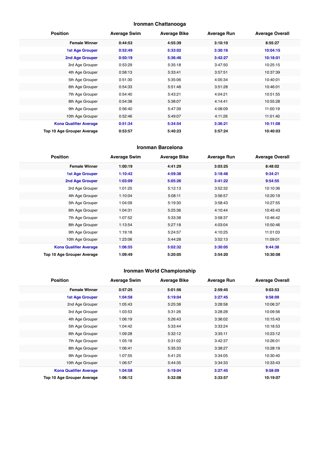## **Ironman Chattanooga**

| <b>Position</b>               | <b>Average Swim</b> | <b>Average Bike</b> | <b>Average Run</b> | <b>Average Overall</b> |
|-------------------------------|---------------------|---------------------|--------------------|------------------------|
| <b>Female Winner</b>          | 0:44:53             | 4:55:39             | 3:10:10            | 8:55:27                |
| <b>1st Age Grouper</b>        | 0:52:49             | 5:33:02             | 3:30:16            | 10:04:15               |
| 2nd Age Grouper               | 0:50:19             | 5:36:46             | 3:42:27            | 10:18:01               |
| 3rd Age Grouper               | 0:53:29             | 5:35:18             | 3:47:50            | 10:25:15               |
| 4th Age Grouper               | 0:58:13             | 5:33:41             | 3:57:51            | 10:37:39               |
| 5th Age Grouper               | 0:51:30             | 5:35:06             | 4:05:34            | 10:40:01               |
| 6th Age Grouper               | 0:54:33             | 5:51:48             | 3:51:28            | 10:46:01               |
| 7th Age Grouper               | 0:54:40             | 5:43:21             | 4:04:21            | 10:51:55               |
| 8th Age Grouper               | 0:54:38             | 5:38:07             | 4:14:41            | 10:55:28               |
| 9th Age Grouper               | 0:56:40             | 5:47:39             | 4:08:09            | 11:00:19               |
| 10th Age Grouper              | 0:52:46             | 5:49:07             | 4:11:26            | 11:01:40               |
| <b>Kona Qualifier Average</b> | 0:51:34             | 5:34:54             | 3:36:21            | 10:11:08               |
| Top 10 Age Grouper Average    | 0:53:57             | 5:40:23             | 3:57:24            | 10:40:03               |

#### **Ironman Barcelona**

| <b>Position</b>               | <b>Average Swim</b> | <b>Average Bike</b> | <b>Average Run</b> | <b>Average Overall</b> |
|-------------------------------|---------------------|---------------------|--------------------|------------------------|
| <b>Female Winner</b>          | 1:00:19             | 4:41:29             | 3:03:25            | 8:48:02                |
| <b>1st Age Grouper</b>        | 1:10:42             | 4:59:38             | 3:18:48            | 9:34:21                |
| 2nd Age Grouper               | 1:03:09             | 5:05:26             | 3:41:22            | 9:54:55                |
| 3rd Age Grouper               | 1:01:25             | 5:12:13             | 3:52:32            | 10:10:36               |
| 4th Age Grouper               | 1:10:04             | 5:08:11             | 3:56:57            | 10:20:19               |
| 5th Age Grouper               | 1:04:09             | 5:19:30             | 3:58:43            | 10:27:55               |
| 6th Age Grouper               | 1:04:31             | 5:25:36             | 4:10:44            | 10:45:43               |
| 7th Age Grouper               | 1:07:52             | 5:33:38             | 3:58:37            | 10:46:42               |
| 8th Age Grouper               | 1:13:54             | 5:27:18             | 4:03:04            | 10:50:46               |
| 9th Age Grouper               | 1:19:18             | 5:24:57             | 4:10:25            | 11:01:03               |
| 10th Age Grouper              | 1:23:06             | 5:44:28             | 3:52:13            | 11:09:01               |
| <b>Kona Qualifier Average</b> | 1:06:55             | 5:02:32             | 3:30:05            | 9:44:38                |
| Top 10 Age Grouper Average    | 1:09:49             | 5:20:05             | 3:54:20            | 10:30:08               |

## **Ironman World Championship**

| <b>Position</b>               | <b>Average Swim</b> | <b>Average Bike</b> | <b>Average Run</b> | <b>Average Overall</b> |
|-------------------------------|---------------------|---------------------|--------------------|------------------------|
| <b>Female Winner</b>          | 0:57:25             | 5:01:56             | 2:59:45            | 9:03:53                |
| <b>1st Age Grouper</b>        | 1:04:58             | 5:19:04             | 3:27:45            | 9:58:09                |
| 2nd Age Grouper               | 1:05:43             | 5:25:38             | 3:28:58            | 10:06:37               |
| 3rd Age Grouper               | 1:03:53             | 5:31:26             | 3:28:28            | 10:09:56               |
| 4th Age Grouper               | 1:06:19             | 5:26:43             | 3:36:02            | 10:15:43               |
| 5th Age Grouper               | 1:04:42             | 5:33:44             | 3:33:24            | 10:18:53               |
| 6th Age Grouper               | 1:09:28             | 5:32:12             | 3:35:11            | 10:23:12               |
| 7th Age Grouper               | 1:05:18             | 5:31:02             | 3:42:37            | 10:26:01               |
| 8th Age Grouper               | 1:06:41             | 5:35:33             | 3:38:27            | 10:28:19               |
| 9th Age Grouper               | 1:07:55             | 5:41:25             | 3:34:05            | 10:30:40               |
| 10th Age Grouper              | 1:06:57             | 5:44:35             | 3:34:33            | 10:33:43               |
| <b>Kona Qualifier Average</b> | 1:04:58             | 5:19:04             | 3:27:45            | 9:58:09                |
| Top 10 Age Grouper Average    | 1:06:12             | 5:32:08             | 3:33:57            | 10:19:07               |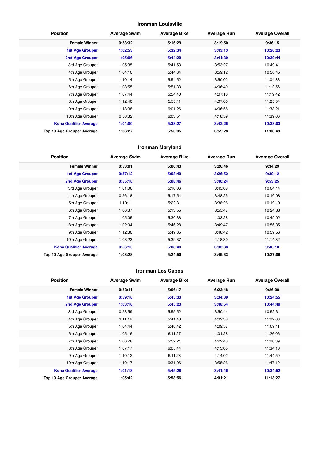#### **Ironman Louisville**

| <b>Position</b>               | <b>Average Swim</b> | <b>Average Bike</b> | <b>Average Run</b> | <b>Average Overall</b> |
|-------------------------------|---------------------|---------------------|--------------------|------------------------|
| <b>Female Winner</b>          | 0:53:32             | 5:16:29             | 3:19:50            | 9:36:15                |
| <b>1st Age Grouper</b>        | 1:02:53             | 5:32:34             | 3:43:13            | 10:26:23               |
| 2nd Age Grouper               | 1:05:06             | 5:44:20             | 3:41:39            | 10:39:44               |
| 3rd Age Grouper               | 1:05:35             | 5:41:53             | 3:53:27            | 10:49:41               |
| 4th Age Grouper               | 1:04:10             | 5:44:34             | 3:59:12            | 10:56:45               |
| 5th Age Grouper               | 1:10:14             | 5:54:52             | 3:50:02            | 11:04:38               |
| 6th Age Grouper               | 1:03:55             | 5:51:33             | 4:06:49            | 11:12:56               |
| 7th Age Grouper               | 1:07:44             | 5:54:40             | 4:07:16            | 11:19:42               |
| 8th Age Grouper               | 1:12:40             | 5:56:11             | 4:07:00            | 11:25:54               |
| 9th Age Grouper               | 1:13:38             | 6:01:26             | 4:06:58            | 11:33:21               |
| 10th Age Grouper              | 0:58:32             | 6:03:51             | 4:18:59            | 11:39:06               |
| <b>Kona Qualifier Average</b> | 1:04:00             | 5:38:27             | 3:42:26            | 10:33:03               |
| Top 10 Age Grouper Average    | 1:06:27             | 5:50:35             | 3:59:28            | 11:06:49               |

#### **Ironman Maryland**

| <b>Position</b>               | <b>Average Swim</b> | <b>Average Bike</b> | <b>Average Run</b> | <b>Average Overall</b> |
|-------------------------------|---------------------|---------------------|--------------------|------------------------|
| <b>Female Winner</b>          | 0:53:01             | 5:06:43             | 3:26:46            | 9:34:29                |
| <b>1st Age Grouper</b>        | 0:57:12             | 5:08:49             | 3:26:52            | 9:39:12                |
| 2nd Age Grouper               | 0:55:18             | 5:08:46             | 3:40:24            | 9:53:25                |
| 3rd Age Grouper               | 1:01:06             | 5:10:06             | 3:45:08            | 10:04:14               |
| 4th Age Grouper               | 0:56:18             | 5:17:54             | 3:48:25            | 10:10:08               |
| 5th Age Grouper               | 1:10:11             | 5:22:31             | 3:38:26            | 10:19:19               |
| 6th Age Grouper               | 1:06:37             | 5:13:55             | 3:55:47            | 10:24:38               |
| 7th Age Grouper               | 1:05:05             | 5:30:38             | 4:03:28            | 10:49:02               |
| 8th Age Grouper               | 1:02:04             | 5:46:28             | 3:49:47            | 10:56:35               |
| 9th Age Grouper               | 1:12:30             | 5:49:35             | 3:48:42            | 10:59:56               |
| 10th Age Grouper              | 1:08:23             | 5:39:37             | 4:18:30            | 11:14:32               |
| <b>Kona Qualifier Average</b> | 0:56:15             | 5:08:48             | 3:33:38            | 9:46:18                |
| Top 10 Age Grouper Average    | 1:03:28             | 5:24:50             | 3:49:33            | 10:27:06               |

#### **Ironman Los Cabos**

| <b>Position</b>               | <b>Average Swim</b> | <b>Average Bike</b> | <b>Average Run</b> | <b>Average Overall</b> |
|-------------------------------|---------------------|---------------------|--------------------|------------------------|
| <b>Female Winner</b>          | 0:53:11             | 5:06:17             | 6:23:48            | 9:26:08                |
| <b>1st Age Grouper</b>        | 0:59:18             | 5:45:33             | 3:34:39            | 10:24:55               |
| <b>2nd Age Grouper</b>        | 1:03:18             | 5:45:23             | 3:48:54            | 10:44:49               |
| 3rd Age Grouper               | 0:58:59             | 5:55:52             | 3:50:44            | 10:52:31               |
| 4th Age Grouper               | 1:11:16             | 5:41:48             | 4:02:38            | 11:02:03               |
| 5th Age Grouper               | 1:04:44             | 5:48:42             | 4:09:57            | 11:09:11               |
| 6th Age Grouper               | 1:05:16             | 6:11:27             | 4:01:28            | 11:26:06               |
| 7th Age Grouper               | 1:06:28             | 5:52:21             | 4:22:43            | 11:28:39               |
| 8th Age Grouper               | 1:07:17             | 6:05:44             | 4:13:05            | 11:34:10               |
| 9th Age Grouper               | 1:10:12             | 6:11:23             | 4:14:02            | 11:44:59               |
| 10th Age Grouper              | 1:10:17             | 6:31:06             | 3:55:26            | 11:47:12               |
| <b>Kona Qualifier Average</b> | 1:01:18             | 5:45:28             | 3:41:46            | 10:34:52               |
| Top 10 Age Grouper Average    | 1:05:42             | 5:58:56             | 4:01:21            | 11:13:27               |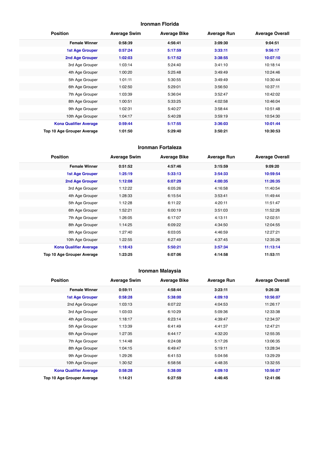#### **Ironman Florida**

| <b>Position</b>               | <b>Average Swim</b> | <b>Average Bike</b> | <b>Average Run</b> | <b>Average Overall</b> |
|-------------------------------|---------------------|---------------------|--------------------|------------------------|
| <b>Female Winner</b>          | 0:58:39             | 4:56:41             | 3:09:30            | 9:04:51                |
| <b>1st Age Grouper</b>        | 0:57:24             | 5:17:59             | 3:33:11            | 9:56:17                |
| 2nd Age Grouper               | 1:02:03             | 5:17:52             | 3:38:55            | 10:07:10               |
| 3rd Age Grouper               | 1:03:14             | 5:24:40             | 3:41:10            | 10:18:14               |
| 4th Age Grouper               | 1:00:20             | 5:25:48             | 3:49:49            | 10:24:46               |
| 5th Age Grouper               | 1:01:11             | 5:30:55             | 3:49:49            | 10:30:44               |
| 6th Age Grouper               | 1:02:50             | 5:29:01             | 3:56:50            | 10:37:11               |
| 7th Age Grouper               | 1:03:39             | 5:36:04             | 3:52:47            | 10:42:02               |
| 8th Age Grouper               | 1:00:51             | 5:33:25             | 4:02:58            | 10:46:04               |
| 9th Age Grouper               | 1:02:31             | 5:40:27             | 3:58:44            | 10:51:48               |
| 10th Age Grouper              | 1:04:17             | 5:40:28             | 3:59:19            | 10:54:30               |
| <b>Kona Qualifier Average</b> | 0:59:44             | 5:17:55             | 3:36:03            | 10:01:44               |
| Top 10 Age Grouper Average    | 1:01:50             | 5:29:40             | 3:50:21            | 10:30:53               |

#### **Ironman Fortaleza**

| <b>Position</b>               | <b>Average Swim</b> | <b>Average Bike</b> | <b>Average Run</b> | <b>Average Overall</b> |
|-------------------------------|---------------------|---------------------|--------------------|------------------------|
| <b>Female Winner</b>          | 0:51:52             | 4:57:46             | 3:15:59            | 9:09:20                |
| <b>1st Age Grouper</b>        | 1:25:19             | 5:33:13             | 3:54:33            | 10:59:54               |
| 2nd Age Grouper               | 1:12:08             | 6:07:29             | 4:00:35            | 11:26:35               |
| 3rd Age Grouper               | 1:12:22             | 6:05:26             | 4:16:58            | 11:40:54               |
| 4th Age Grouper               | 1:28:33             | 6:15:54             | 3:53:41            | 11:49:44               |
| 5th Age Grouper               | 1:12:28             | 6:11:22             | 4:20:11            | 11:51:47               |
| 6th Age Grouper               | 1:52:21             | 6:00:19             | 3:51:03            | 11:52:26               |
| 7th Age Grouper               | 1:26:05             | 6:17:07             | 4:13:11            | 12:02:51               |
| 8th Age Grouper               | 1:14:25             | 6:09:22             | 4:34:50            | 12:04:55               |
| 9th Age Grouper               | 1:27:40             | 6:03:05             | 4:46:59            | 12:27:21               |
| 10th Age Grouper              | 1:22:55             | 6:27:49             | 4:37:45            | 12:35:26               |
| <b>Kona Qualifier Average</b> | 1:18:43             | 5:50:21             | 3:57:34            | 11:13:14               |
| Top 10 Age Grouper Average    | 1:23:25             | 6:07:06             | 4:14:58            | 11:53:11               |

## **Ironman Malaysia**

| <b>Position</b>               | <b>Average Swim</b> | <b>Average Bike</b> | <b>Average Run</b> | <b>Average Overall</b> |
|-------------------------------|---------------------|---------------------|--------------------|------------------------|
| <b>Female Winner</b>          | 0:59:11             | 4:58:44             | 3:23:11            | 9:26:38                |
| <b>1st Age Grouper</b>        | 0:58:28             | 5:38:00             | 4:09:10            | 10:56:07               |
| 2nd Age Grouper               | 1:03:13             | 6:07:22             | 4:04:53            | 11:26:17               |
| 3rd Age Grouper               | 1:03:03             | 6:10:29             | 5:09:36            | 12:33:38               |
| 4th Age Grouper               | 1:18:17             | 6:23:14             | 4:39:47            | 12:34:37               |
| 5th Age Grouper               | 1:13:39             | 6:41:49             | 4:41:37            | 12:47:21               |
| 6th Age Grouper               | 1:27:35             | 6:44:17             | 4:32:20            | 12:55:35               |
| 7th Age Grouper               | 1:14:48             | 6:24:08             | 5:17:26            | 13:06:35               |
| 8th Age Grouper               | 1:04:15             | 6:49:47             | 5:19:11            | 13:28:34               |
| 9th Age Grouper               | 1:29:26             | 6:41:53             | 5:04:56            | 13:29:29               |
| 10th Age Grouper              | 1:30:52             | 6:58:56             | 4:48:35            | 13:32:55               |
| <b>Kona Qualifier Average</b> | 0:58:28             | 5:38:00             | 4:09:10            | 10:56:07               |
| Top 10 Age Grouper Average    | 1:14:21             | 6:27:59             | 4:46:45            | 12:41:06               |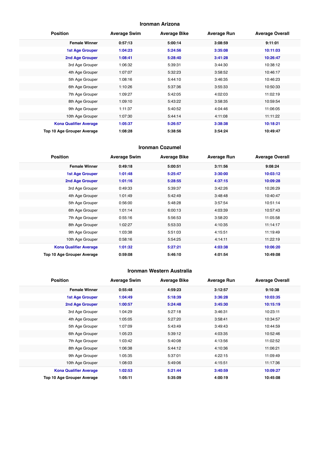#### **Ironman Arizona**

| <b>Position</b>               | <b>Average Swim</b> | <b>Average Bike</b> | <b>Average Run</b> | <b>Average Overall</b> |
|-------------------------------|---------------------|---------------------|--------------------|------------------------|
| <b>Female Winner</b>          | 0:57:13             | 5:00:14             | 3:08:59            | 9:11:01                |
| <b>1st Age Grouper</b>        | 1:04:23             | 5:24:56             | 3:35:08            | 10:11:03               |
| 2nd Age Grouper               | 1:08:41             | 5:28:40             | 3:41:28            | 10:26:47               |
| 3rd Age Grouper               | 1:06:32             | 5:39:31             | 3:44:30            | 10:38:12               |
| 4th Age Grouper               | 1:07:07             | 5:32:23             | 3:58:52            | 10:46:17               |
| 5th Age Grouper               | 1:08:16             | 5:44:10             | 3:46:35            | 10:46:23               |
| 6th Age Grouper               | 1:10:26             | 5:37:36             | 3:55:33            | 10:50:33               |
| 7th Age Grouper               | 1:09:27             | 5:42:05             | 4:02:03            | 11:02:19               |
| 8th Age Grouper               | 1:09:10             | 5:43:22             | 3:58:35            | 10:59:54               |
| 9th Age Grouper               | 1:11:37             | 5:40:52             | 4:04:46            | 11:06:05               |
| 10th Age Grouper              | 1:07:30             | 5:44:14             | 4:11:08            | 11:11:22               |
| <b>Kona Qualifier Average</b> | 1:05:37             | 5:26:57             | 3:38:38            | 10:18:21               |
| Top 10 Age Grouper Average    | 1:08:28             | 5:38:56             | 3:54:24            | 10:49:47               |

#### **Ironman Cozumel**

| <b>Position</b>               | <b>Average Swim</b> | <b>Average Bike</b> | <b>Average Run</b> | <b>Average Overall</b> |
|-------------------------------|---------------------|---------------------|--------------------|------------------------|
| <b>Female Winner</b>          | 0:49:18             | 5:00:51             | 3:11:56            | 9:08:24                |
| <b>1st Age Grouper</b>        | 1:01:48             | 5:25:47             | 3:30:00            | 10:03:12               |
| 2nd Age Grouper               | 1:01:16             | 5:28:55             | 4:37:15            | 10:09:28               |
| 3rd Age Grouper               | 0:49:33             | 5:39:37             | 3:42:26            | 10:26:29               |
| 4th Age Grouper               | 1:01:49             | 5:42:49             | 3:48:48            | 10:40:47               |
| 5th Age Grouper               | 0:56:00             | 5:48:28             | 3:57:54            | 10:51:14               |
| 6th Age Grouper               | 1:01:14             | 6:00:13             | 4:03:39            | 10:57:43               |
| 7th Age Grouper               | 0:55:16             | 5:56:53             | 3:58:20            | 11:05:58               |
| 8th Age Grouper               | 1:02:27             | 5:53:33             | 4:10:35            | 11:14:17               |
| 9th Age Grouper               | 1:03:38             | 5:51:03             | 4:15:51            | 11:19:49               |
| 10th Age Grouper              | 0:58:16             | 5:54:25             | 4:14:11            | 11:22:19               |
| <b>Kona Qualifier Average</b> | 1:01:32             | 5:27:21             | 4:03:38            | 10:06:20               |
| Top 10 Age Grouper Average    | 0:59:08             | 5:46:10             | 4:01:54            | 10:49:08               |

#### **Ironman Western Australia**

| <b>Position</b>               | <b>Average Swim</b> | <b>Average Bike</b> | <b>Average Run</b> | <b>Average Overall</b> |
|-------------------------------|---------------------|---------------------|--------------------|------------------------|
| <b>Female Winner</b>          | 0:55:48             | 4:59:23             | 3:12:57            | 9:10:38                |
| <b>1st Age Grouper</b>        | 1:04:49             | 5:18:39             | 3:36:28            | 10:03:35               |
| <b>2nd Age Grouper</b>        | 1:00:57             | 5:24:48             | 3:45:30            | 10:15:19               |
| 3rd Age Grouper               | 1:04:29             | 5:27:18             | 3:46:31            | 10:23:11               |
| 4th Age Grouper               | 1:05:05             | 5:27:20             | 3:58:41            | 10:34:57               |
| 5th Age Grouper               | 1:07:09             | 5:43:49             | 3:49:43            | 10:44:59               |
| 6th Age Grouper               | 1:05:23             | 5:39:12             | 4:03:35            | 10:52:46               |
| 7th Age Grouper               | 1:03:42             | 5:40:08             | 4:13:56            | 11:02:52               |
| 8th Age Grouper               | 1:06:38             | 5:44:12             | 4:10:36            | 11:06:21               |
| 9th Age Grouper               | 1:05:35             | 5:37:01             | 4:22:15            | 11:09:49               |
| 10th Age Grouper              | 1:08:03             | 5:49:06             | 4:15:51            | 11:17:36               |
| <b>Kona Qualifier Average</b> | 1:02:53             | 5:21:44             | 3:40:59            | 10:09:27               |
| Top 10 Age Grouper Average    | 1:05:11             | 5:35:09             | 4:00:19            | 10:45:08               |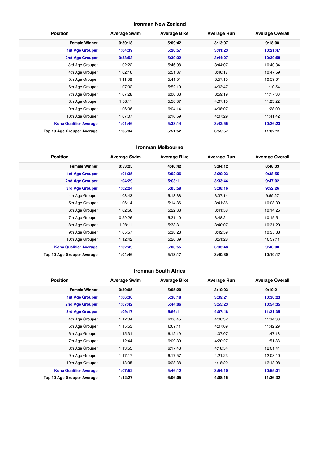#### **Ironman New Zealand**

| <b>Position</b>               | <b>Average Swim</b> | <b>Average Bike</b> | <b>Average Run</b> | <b>Average Overall</b> |
|-------------------------------|---------------------|---------------------|--------------------|------------------------|
| <b>Female Winner</b>          | 0:50:18             | 5:09:42             | 3:13:07            | 9:18:08                |
| <b>1st Age Grouper</b>        | 1:04:39             | 5:26:57             | 3:41:23            | 10:21:47               |
| 2nd Age Grouper               | 0:58:53             | 5:39:32             | 3:44:27            | 10:30:58               |
| 3rd Age Grouper               | 1:02:22             | 5:46:08             | 3:44:07            | 10:40:34               |
| 4th Age Grouper               | 1:02:16             | 5:51:37             | 3:46:17            | 10:47:59               |
| 5th Age Grouper               | 1:11:38             | 5:41:51             | 3:57:15            | 10:59:01               |
| 6th Age Grouper               | 1:07:02             | 5:52:10             | 4:03:47            | 11:10:54               |
| 7th Age Grouper               | 1:07:28             | 6:00:38             | 3:59:19            | 11:17:33               |
| 8th Age Grouper               | 1:08:11             | 5:58:37             | 4:07:15            | 11:23:22               |
| 9th Age Grouper               | 1:06:06             | 6:04:14             | 4:08:07            | 11:28:00               |
| 10th Age Grouper              | 1:07:07             | 6:16:59             | 4:07:29            | 11:41:42               |
| <b>Kona Qualifier Average</b> | 1:01:46             | 5:33:14             | 3:42:55            | 10:26:23               |
| Top 10 Age Grouper Average    | 1:05:34             | 5:51:52             | 3:55:57            | 11:02:11               |

#### **Ironman Melbourne**

| <b>Position</b>               | <b>Average Swim</b> | <b>Average Bike</b> | <b>Average Run</b> | <b>Average Overall</b> |
|-------------------------------|---------------------|---------------------|--------------------|------------------------|
| <b>Female Winner</b>          | 0:53:25             | 4:46:42             | 3:04:12            | 8:48:33                |
| <b>1st Age Grouper</b>        | 1:01:35             | 5:02:36             | 3:29:23            | 9:38:55                |
| 2nd Age Grouper               | 1:04:29             | 5:03:11             | 3:33:44            | 9:47:02                |
| <b>3rd Age Grouper</b>        | 1:02:24             | 5:05:59             | 3:38:16            | 9:52:26                |
| 4th Age Grouper               | 1:03:43             | 5:13:38             | 3:37:14            | 9:59:27                |
| 5th Age Grouper               | 1:06:14             | 5:14:36             | 3:41:36            | 10:08:39               |
| 6th Age Grouper               | 1:02:56             | 5:22:38             | 3:41:58            | 10:14:25               |
| 7th Age Grouper               | 0:59:26             | 5:21:40             | 3:48:21            | 10:15:51               |
| 8th Age Grouper               | 1:08:11             | 5:33:31             | 3:40:07            | 10:31:20               |
| 9th Age Grouper               | 1:05:57             | 5:38:28             | 3:42:59            | 10:35:38               |
| 10th Age Grouper              | 1:12:42             | 5:26:39             | 3:51:28            | 10:39:11               |
| <b>Kona Qualifier Average</b> | 1:02:49             | 5:03:55             | 3:33:48            | 9:46:08                |
| Top 10 Age Grouper Average    | 1:04:46             | 5:18:17             | 3:40:30            | 10:10:17               |

#### **Ironman South Africa**

| <b>Position</b>               | <b>Average Swim</b> | <b>Average Bike</b> | <b>Average Run</b> | <b>Average Overall</b> |
|-------------------------------|---------------------|---------------------|--------------------|------------------------|
| <b>Female Winner</b>          | 0:59:05             | 5:05:20             | 3:10:03            | 9:19:21                |
| <b>1st Age Grouper</b>        | 1:06:36             | 5:38:18             | 3:39:21            | 10:30:23               |
| <b>2nd Age Grouper</b>        | 1:07:42             | 5:44:06             | 3:55:23            | 10:54:35               |
| 3rd Age Grouper               | 1:09:17             | 5:56:11             | 4:07:48            | 11:21:35               |
| 4th Age Grouper               | 1:12:04             | 6:06:45             | 4:06:32            | 11:34:30               |
| 5th Age Grouper               | 1:15:53             | 6:09:11             | 4:07:09            | 11:42:29               |
| 6th Age Grouper               | 1:15:31             | 6:12:19             | 4:07:07            | 11:47:13               |
| 7th Age Grouper               | 1:12:44             | 6:09:39             | 4:20:27            | 11:51:33               |
| 8th Age Grouper               | 1:13:55             | 6:17:43             | 4:18:54            | 12:01:41               |
| 9th Age Grouper               | 1:17:17             | 6:17:57             | 4:21:23            | 12:08:10               |
| 10th Age Grouper              | 1:13:35             | 6:28:38             | 4:18:22            | 12:13:08               |
| <b>Kona Qualifier Average</b> | 1:07:52             | 5:46:12             | 3:54:10            | 10:55:31               |
| Top 10 Age Grouper Average    | 1:12:27             | 6:06:05             | 4:08:15            | 11:36:32               |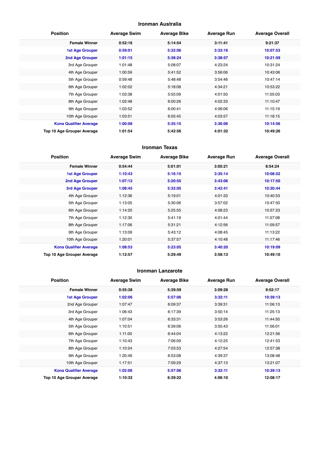#### **Ironman Australia**

| <b>Position</b>               | <b>Average Swim</b> | <b>Average Bike</b> | <b>Average Run</b> | <b>Average Overall</b> |
|-------------------------------|---------------------|---------------------|--------------------|------------------------|
| <b>Female Winner</b>          | 0:52:16             | 5:14:54             | 3:11:41            | 9:21:37                |
| <b>1st Age Grouper</b>        | 0:59:01             | 5:32:06             | 3:33:16            | 10:07:53               |
| 2nd Age Grouper               | 1:01:15             | 5:38:24             | 3:38:57            | 10:21:59               |
| 3rd Age Grouper               | 1:01:48             | 5:08:07             | 4:23:24            | 10:31:24               |
| 4th Age Grouper               | 1:00:59             | 5:41:52             | 3:56:06            | 10:43:06               |
| 5th Age Grouper               | 0:59:48             | 5:48:48             | 3:54:46            | 10:47:14               |
| 6th Age Grouper               | 1:02:02             | 5:18:08             | 4:34:21            | 10:53:22               |
| 7th Age Grouper               | 1:03:38             | 5:55:09             | 4:01:50            | 11:05:03               |
| 8th Age Grouper               | 1:02:48             | 6:00:26             | 4:02:33            | 11:10:47               |
| 9th Age Grouper               | 1:03:52             | 6:00:41             | 4:06:06            | 11:15:19               |
| 10th Age Grouper              | 1:03:51             | 6:05:45             | 4:03:57            | 11:18:15               |
| <b>Kona Qualifier Average</b> | 1:00:08             | 5:35:15             | 3:36:06            | 10:14:56               |
| Top 10 Age Grouper Average    | 1:01:54             | 5:42:56             | 4:01:32            | 10:49:26               |

#### **Ironman Texas**

| <b>Position</b>               | <b>Average Swim</b> | <b>Average Bike</b> | <b>Average Run</b> | <b>Average Overall</b> |
|-------------------------------|---------------------|---------------------|--------------------|------------------------|
| <b>Female Winner</b>          | 0:54:44             | 5:01:01             | 3:05:21            | 8:54:24                |
| <b>1st Age Grouper</b>        | 1:10:43             | 5:16:15             | 3:35:14            | 10:08:52               |
| 2nd Age Grouper               | 1:07:12             | 5:20:55             | 3:43:06            | 10:17:50               |
| 3rd Age Grouper               | 1:08:45             | 5:32:05             | 3:42:41            | 10:30:44               |
| 4th Age Grouper               | 1:12:36             | 5:19:01             | 4:01:33            | 10:40:53               |
| 5th Age Grouper               | 1:13:05             | 5:30:06             | 3:57:02            | 10:47:50               |
| 6th Age Grouper               | 1:14:20             | 5:25:55             | 4:08:23            | 10:57:23               |
| 7th Age Grouper               | 1:12:30             | 5:41:19             | 4:01:44            | 11:07:08               |
| 8th Age Grouper               | 1:17:06             | 5:31:21             | 4:12:56            | 11:09:57               |
| 9th Age Grouper               | 1:13:09             | 5:43:12             | 4:08:45            | 11:13:22               |
| 10th Age Grouper              | 1:20:01             | 5:37:57             | 4:10:48            | 11:17:46               |
| <b>Kona Qualifier Average</b> | 1:08:53             | 5:23:05             | 3:40:20            | 10:19:09               |
| Top 10 Age Grouper Average    | 1:12:57             | 5:29:49             | 3:58:13            | 10:49:10               |

#### **Ironman Lanzarote**

| <b>Position</b>               | <b>Average Swim</b> | <b>Average Bike</b> | <b>Average Run</b> | <b>Average Overall</b> |
|-------------------------------|---------------------|---------------------|--------------------|------------------------|
| <b>Female Winner</b>          | 0:55:38             | 5:39:59             | 3:09:28            | 9:52:17                |
| <b>1st Age Grouper</b>        | 1:02:06             | 5:57:06             | 3:32:11            | 10:39:13               |
| 2nd Age Grouper               | 1:07:47             | 6:09:37             | 3:39:31            | 11:06:13               |
| 3rd Age Grouper               | 1:06:43             | 6:17:39             | 3:50:14            | 11:25:13               |
| 4th Age Grouper               | 1:07:04             | 6:33:31             | 3:53:26            | 11:44:50               |
| 5th Age Grouper               | 1:10:51             | 6:39:06             | 3:55:43            | 11:56:01               |
| 6th Age Grouper               | 1:11:00             | 6:44:04             | 4:13:22            | 12:21:56               |
| 7th Age Grouper               | 1:10:43             | 7:06:09             | 4:12:25            | 12:41:53               |
| 8th Age Grouper               | 1:10:24             | 7:03:53             | 4:27:54            | 12:57:38               |
| 9th Age Grouper               | 1:20:49             | 6:53:08             | 4:39:37            | 13:08:48               |
| 10th Age Grouper              | 1:17:51             | 7:09:29             | 4:37:13            | 13:21:07               |
| <b>Kona Qualifier Average</b> | 1:02:06             | 5:57:06             | 3:32:11            | 10:39:13               |
| Top 10 Age Grouper Average    | 1:10:32             | 6:39:22             | 4:06:10            | 12:08:17               |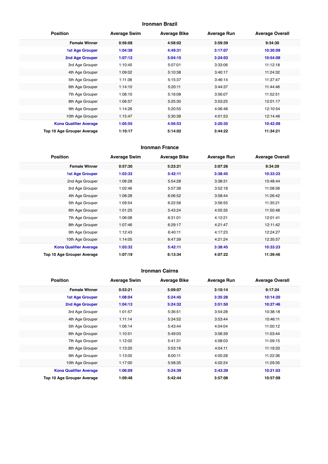#### **Ironman Brazil**

| <b>Position</b>               | <b>Average Swim</b> | <b>Average Bike</b> | <b>Average Run</b> | <b>Average Overall</b> |
|-------------------------------|---------------------|---------------------|--------------------|------------------------|
| <b>Female Winner</b>          | 0:56:08             | 4:58:02             | 3:59:39            | 9:34:30                |
| <b>1st Age Grouper</b>        | 1:04:38             | 4:49:31             | 3:17:07            | 10:30:09               |
| 2nd Age Grouper               | 1:07:12             | 5:04:15             | 3:24:03            | 10:54:09               |
| 3rd Age Grouper               | 1:10:45             | 5:07:01             | 3:33:06            | 11:12:18               |
| 4th Age Grouper               | 1:09:02             | 5:10:38             | 3:40:17            | 11:24:32               |
| 5th Age Grouper               | 1:11:38             | 5:15:37             | 3:46:14            | 11:37:47               |
| 6th Age Grouper               | 1:14:10             | 5:20:11             | 3:44:37            | 11:44:46               |
| 7th Age Grouper               | 1:08:10             | 5:16:08             | 3:56:07            | 11:52:51               |
| 8th Age Grouper               | 1:06:57             | 5:25:30             | 3:53:25            | 12:01:17               |
| 9th Age Grouper               | 1:14:26             | 5:20:55             | 4:06:48            | 12:10:54               |
| 10th Age Grouper              | 1:15:47             | 5:30:38             | 4:01:53            | 12:14:46               |
| <b>Kona Qualifier Average</b> | 1:05:55             | 4:56:53             | 3:20:35            | 10:42:09               |
| Top 10 Age Grouper Average    | 1:10:17             | 5:14:02             | 3:44:22            | 11:34:21               |

#### **Ironman France**

| <b>Position</b>               | <b>Average Swim</b> | <b>Average Bike</b> | <b>Average Run</b> | <b>Average Overall</b> |
|-------------------------------|---------------------|---------------------|--------------------|------------------------|
| <b>Female Winner</b>          | 0:57:30             | 5:23:21             | 3:07:26            | 9:34:29                |
| <b>1st Age Grouper</b>        | 1:03:32             | 5:42:11             | 3:38:45            | 10:33:23               |
| 2nd Age Grouper               | 1:06:28             | 5:54:28             | 3:38:31            | 10:48:44               |
| 3rd Age Grouper               | 1:02:46             | 5:57:38             | 3:52:18            | 11:08:58               |
| 4th Age Grouper               | 1:08:28             | 6:06:52             | 3:58:44            | 11:26:42               |
| 5th Age Grouper               | 1:09:54             | 6:22:56             | 3:56:55            | 11:35:21               |
| 6th Age Grouper               | 1:01:25             | 5:43:24             | 4:55:35            | 11:50:48               |
| 7th Age Grouper               | 1:06:08             | 6:31:01             | 4:12:21            | 12:01:41               |
| 8th Age Grouper               | 1:07:46             | 6:29:17             | 4:21:47            | 12:11:42               |
| 9th Age Grouper               | 1:12:43             | 6:40:11             | 4:17:23            | 12:24:27               |
| 10th Age Grouper              | 1:14:05             | 6:47:39             | 4:21:24            | 12:35:57               |
| <b>Kona Qualifier Average</b> | 1:03:32             | 5:42:11             | 3:38:45            | 10:33:23               |
| Top 10 Age Grouper Average    | 1:07:19             | 6:13:34             | 4:07:22            | 11:39:46               |

#### **Ironman Cairns**

| <b>Position</b>               | <b>Average Swim</b> | <b>Average Bike</b> | <b>Average Run</b> | <b>Average Overall</b> |
|-------------------------------|---------------------|---------------------|--------------------|------------------------|
| <b>Female Winner</b>          | 0:53:21             | 5:09:07             | 3:10:14            | 9:17:24                |
| <b>1st Age Grouper</b>        | 1:08:04             | 5:24:45             | 3:35:28            | 10:14:20               |
| <b>2nd Age Grouper</b>        | 1:04:13             | 5:24:32             | 3:51:50            | 10:27:46               |
| 3rd Age Grouper               | 1:01:57             | 5:36:51             | 3:54:28            | 10:38:18               |
| 4th Age Grouper               | 1:11:14             | 5:34:52             | 3:53:44            | 10:46:11               |
| 5th Age Grouper               | 1:06:14             | 5:43:44             | 4:04:04            | 11:00:12               |
| 6th Age Grouper               | 1:10:51             | 5:49:03             | 3:56:39            | 11:03:44               |
| 7th Age Grouper               | 1:12:02             | 5:41:31             | 4:08:03            | 11:09:15               |
| 8th Age Grouper               | 1:13:20             | 5:53:16             | 4:04:11            | 11:19:33               |
| 9th Age Grouper               | 1:13:05             | 6:00:11             | 4:00:28            | 11:22:36               |
| 10th Age Grouper              | 1:17:00             | 5:58:35             | 4:02:24            | 11:29:35               |
| <b>Kona Qualifier Average</b> | 1:06:09             | 5:24:39             | 3:43:39            | 10:21:03               |
| Top 10 Age Grouper Average    | 1:09:48             | 5:42:44             | 3:57:08            | 10:57:09               |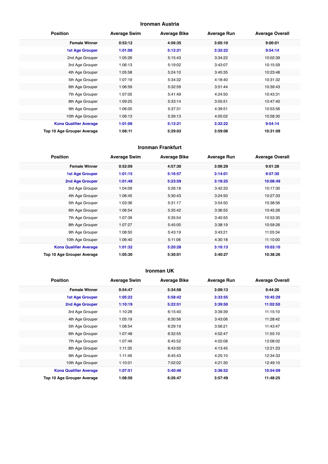#### **Ironman Austria**

| <b>Position</b>               | <b>Average Swim</b> | <b>Average Bike</b> | <b>Average Run</b> | <b>Average Overall</b> |
|-------------------------------|---------------------|---------------------|--------------------|------------------------|
| <b>Female Winner</b>          | 0:53:12             | 4:56:35             | 3:05:10            | 9:00:01                |
| 1st Age Grouper               | 1:01:06             | 5:12:21             | 3:32:22            | 9:54:14                |
| 2nd Age Grouper               | 1:05:26             | 5:15:43             | 3:34:22            | 10:02:39               |
| 3rd Age Grouper               | 1:06:13             | 5:19:02             | 3:43:07            | 10:15:59               |
| 4th Age Grouper               | 1:05:58             | 5:24:10             | 3:45:35            | 10:23:48               |
| 5th Age Grouper               | 1:07:19             | 5:34:32             | 4:18:40            | 10:31:32               |
| 6th Age Grouper               | 1:06:59             | 5:32:59             | 3:51:44            | 10:39:43               |
| 7th Age Grouper               | 1:07:05             | 5:41:49             | 4:24:50            | 10:43:31               |
| 8th Age Grouper               | 1:09:25             | 5:33:14             | 3:55:51            | 10:47:40               |
| 9th Age Grouper               | 1:06:05             | 5:37:31             | 4:39:51            | 10:53:56               |
| 10th Age Grouper              | 1:06:13             | 5:39:13             | 4:05:02            | 10:58:30               |
| <b>Kona Qualifier Average</b> | 1:01:06             | 5:12:21             | 3:32:22            | 9:54:14                |
| Top 10 Age Grouper Average    | 1:06:11             | 5:29:03             | 3:59:08            | 10:31:09               |

#### **Ironman Frankfurt**

| <b>Position</b>               | <b>Average Swim</b> | <b>Average Bike</b> | <b>Average Run</b> | <b>Average Overall</b> |
|-------------------------------|---------------------|---------------------|--------------------|------------------------|
| <b>Female Winner</b>          | 0:52:09             | 4:57:30             | 3:06:29            | 9:01:28                |
| 1st Age Grouper               | 1:01:15             | 5:16:57             | 3:14:01            | 9:57:30                |
| 2nd Age Grouper               | 1:01:48             | 5:23:59             | 3:18:25            | 10:08:49               |
| 3rd Age Grouper               | 1:04:09             | 5:26:18             | 3:42:33            | 10:17:30               |
| 4th Age Grouper               | 1:06:45             | 5:30:43             | 3:24:50            | 10:27:33               |
| 5th Age Grouper               | 1:03:36             | 5:31:17             | 3:54:50            | 10:38:56               |
| 6th Age Grouper               | 1:06:54             | 5:35:42             | 3:36:55            | 10:45:26               |
| 7th Age Grouper               | 1:07:39             | 5:35:54             | 3:40:55            | 10:53:35               |
| 8th Age Grouper               | 1:07:27             | 5:45:00             | 3:38:19            | 10:59:26               |
| 9th Age Grouper               | 1:08:50             | 5:43:19             | 3:43:21            | 11:05:34               |
| 10th Age Grouper              | 1:06:40             | 5:11:06             | 4:30:18            | 11:10:00               |
| <b>Kona Qualifier Average</b> | 1:01:32             | 5:20:28             | 3:16:13            | 10:03:10               |
| Top 10 Age Grouper Average    | 1:05:30             | 5:30:01             | 3:40:27            | 10:38:26               |

#### **Ironman UK**

| <b>Position</b>               | <b>Average Swim</b> | <b>Average Bike</b> | <b>Average Run</b> | <b>Average Overall</b> |
|-------------------------------|---------------------|---------------------|--------------------|------------------------|
| <b>Female Winner</b>          | 0:54:47             | 5:34:58             | 3:09:13            | 9:44:26                |
| <b>1st Age Grouper</b>        | 1:05:22             | 5:58:42             | 3:33:55            | 10:45:29               |
| 2nd Age Grouper               | 1:10:19             | 5:22:51             | 3:39:50            | 11:02:50               |
| 3rd Age Grouper               | 1:10:28             | 6:15:40             | 3:39:39            | 11:15:10               |
| 4th Age Grouper               | 1:05:19             | 6:30:56             | 3:43:06            | 11:28:42               |
| 5th Age Grouper               | 1:08:54             | 6:29:19             | 3:56:21            | 11:43:47               |
| 6th Age Grouper               | 1:07:48             | 6:32:55             | 4:02:47            | 11:55:10               |
| 7th Age Grouper               | 1:07:49             | 6:45:52             | 4:02:08            | 12:08:02               |
| 8th Age Grouper               | 1:11:35             | 6:43:50             | 4:13:45            | 12:21:23               |
| 9th Age Grouper               | 1:11:49             | 6:45:43             | 4:25:10            | 12:34:33               |
| 10th Age Grouper              | 1:10:01             | 7:02:02             | 4:21:30            | 12:49:10               |
| <b>Kona Qualifier Average</b> | 1:07:51             | 5:40:46             | 3:36:52            | 10:54:09               |
| Top 10 Age Grouper Average    | 1:08:56             | 6:26:47             | 3:57:49            | 11:48:25               |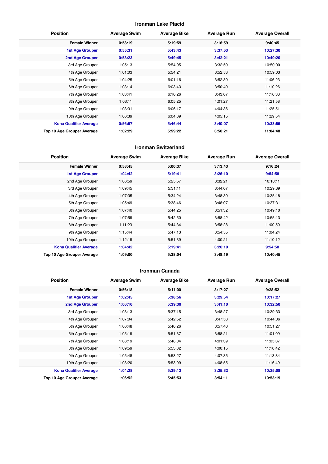#### **Ironman Lake Placid**

| <b>Position</b>               | <b>Average Swim</b> | <b>Average Bike</b> | <b>Average Run</b> | <b>Average Overall</b> |
|-------------------------------|---------------------|---------------------|--------------------|------------------------|
| <b>Female Winner</b>          | 0:58:19             | 5:19:59             | 3:16:59            | 9:40:45                |
| <b>1st Age Grouper</b>        | 0:55:31             | 5:43:43             | 3:37:53            | 10:27:30               |
| 2nd Age Grouper               | 0:58:23             | 5:49:45             | 3:42:21            | 10:40:20               |
| 3rd Age Grouper               | 1:05:13             | 5:54:05             | 3:32:50            | 10:50:00               |
| 4th Age Grouper               | 1:01:03             | 5:54:21             | 3:52:53            | 10:59:03               |
| 5th Age Grouper               | 1:04:25             | 6:01:16             | 3:52:30            | 11:06:23               |
| 6th Age Grouper               | 1:03:14             | 6:03:43             | 3:50:40            | 11:10:26               |
| 7th Age Grouper               | 1:03:41             | 6:10:26             | 3:43:07            | 11:16:33               |
| 8th Age Grouper               | 1:03:11             | 6:05:25             | 4:01:27            | 11:21:58               |
| 9th Age Grouper               | 1:03:31             | 6:06:17             | 4:04:36            | 11:25:51               |
| 10th Age Grouper              | 1:06:39             | 6:04:39             | 4:05:15            | 11:29:54               |
| <b>Kona Qualifier Average</b> | 0:56:57             | 5:46:44             | 3:40:07            | 10:33:55               |
| Top 10 Age Grouper Average    | 1:02:29             | 5:59:22             | 3:50:21            | 11:04:48               |

#### **Ironman Switzerland**

| <b>Position</b>               | <b>Average Swim</b> | <b>Average Bike</b> | <b>Average Run</b> | <b>Average Overall</b> |
|-------------------------------|---------------------|---------------------|--------------------|------------------------|
| <b>Female Winner</b>          | 0:58:45             | 5:00:37             | 3:13:43            | 9:16:24                |
| <b>1st Age Grouper</b>        | 1:04:42             | 5:19:41             | 3:26:10            | 9:54:58                |
| 2nd Age Grouper               | 1:06:59             | 5:25:57             | 3:32:21            | 10:10:11               |
| 3rd Age Grouper               | 1:09:45             | 5:31:11             | 3:44:07            | 10:29:39               |
| 4th Age Grouper               | 1:07:35             | 5:34:24             | 3:48:30            | 10:35:18               |
| 5th Age Grouper               | 1:05:49             | 5:38:46             | 3:48:07            | 10:37:31               |
| 6th Age Grouper               | 1:07:40             | 5:44:25             | 3:51:32            | 10:49:10               |
| 7th Age Grouper               | 1:07:59             | 5:42:50             | 3:58:42            | 10:55:13               |
| 8th Age Grouper               | 1:11:23             | 5:44:34             | 3:58:28            | 11:00:50               |
| 9th Age Grouper               | 1:15:44             | 5:47:13             | 3:54:55            | 11:04:24               |
| 10th Age Grouper              | 1:12:19             | 5:51:39             | 4:00:21            | 11:10:12               |
| <b>Kona Qualifier Average</b> | 1:04:42             | 5:19:41             | 3:26:10            | 9:54:58                |
| Top 10 Age Grouper Average    | 1:09:00             | 5:38:04             | 3:48:19            | 10:40:45               |

#### **Ironman Canada**

| <b>Position</b>               | <b>Average Swim</b> | <b>Average Bike</b> | <b>Average Run</b> | <b>Average Overall</b> |
|-------------------------------|---------------------|---------------------|--------------------|------------------------|
| <b>Female Winner</b>          | 0:56:18             | 5:11:00             | 3:17:27            | 9:28:52                |
| <b>1st Age Grouper</b>        | 1:02:45             | 5:38:56             | 3:29:54            | 10:17:27               |
| 2nd Age Grouper               | 1:06:10             | 5:39:30             | 3:41:10            | 10:32:50               |
| 3rd Age Grouper               | 1:08:13             | 5:37:15             | 3:48:27            | 10:39:33               |
| 4th Age Grouper               | 1:07:04             | 5:42:52             | 3:47:58            | 10:44:06               |
| 5th Age Grouper               | 1:06:48             | 5:40:26             | 3:57:40            | 10:51:27               |
| 6th Age Grouper               | 1:05:19             | 5:51:37             | 3:58:21            | 11:01:09               |
| 7th Age Grouper               | 1:08:19             | 5:48:04             | 4:01:39            | 11:05:37               |
| 8th Age Grouper               | 1:09:59             | 5:53:32             | 4:00:15            | 11:10:42               |
| 9th Age Grouper               | 1:05:48             | 5:53:27             | 4:07:35            | 11:13:34               |
| 10th Age Grouper              | 1:08:20             | 5:53:09             | 4:08:55            | 11:16:49               |
| <b>Kona Qualifier Average</b> | 1:04:28             | 5:39:13             | 3:35:32            | 10:25:08               |
| Top 10 Age Grouper Average    | 1:06:52             | 5:45:53             | 3:54:11            | 10:53:19               |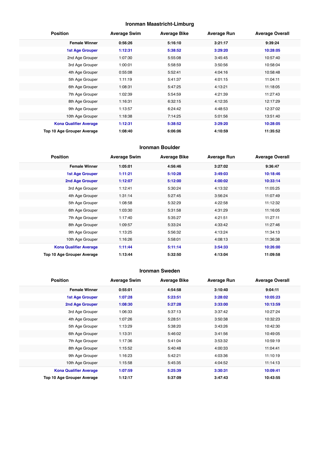#### **Ironman Maastricht-Limburg**

| <b>Position</b>               | <b>Average Swim</b> | <b>Average Bike</b> | <b>Average Run</b> | <b>Average Overall</b> |
|-------------------------------|---------------------|---------------------|--------------------|------------------------|
| <b>Female Winner</b>          | 0:56:26             | 5:16:10             | 3:21:17            | 9:39:24                |
| <b>1st Age Grouper</b>        | 1:12:31             | 5:38:52             | 3:29:20            | 10:28:05               |
| 2nd Age Grouper               | 1:07:30             | 5:55:08             | 3:45:45            | 10:57:40               |
| 3rd Age Grouper               | 1:00:01             | 5:58:59             | 3:50:56            | 10:58:04               |
| 4th Age Grouper               | 0:55:08             | 5:52:41             | 4:04:16            | 10:58:48               |
| 5th Age Grouper               | 1:11:19             | 5:41:37             | 4:01:15            | 11:04:11               |
| 6th Age Grouper               | 1:08:31             | 5:47:25             | 4:13:21            | 11:18:05               |
| 7th Age Grouper               | 1:02:39             | 5:54:59             | 4:21:39            | 11:27:43               |
| 8th Age Grouper               | 1:16:31             | 6:32:15             | 4:12:35            | 12:17:29               |
| 9th Age Grouper               | 1:13:57             | 6:24:42             | 4:48:53            | 12:37:02               |
| 10th Age Grouper              | 1:18:38             | 7:14:25             | 5:01:56            | 13:51:40               |
| <b>Kona Qualifier Average</b> | 1:12:31             | 5:38:52             | 3:29:20            | 10:28:05               |
| Top 10 Age Grouper Average    | 1:08:40             | 6:06:06             | 4:10:59            | 11:35:52               |

#### **Ironman Boulder**

| <b>Position</b>               | <b>Average Swim</b> | <b>Average Bike</b> | <b>Average Run</b> | <b>Average Overall</b> |
|-------------------------------|---------------------|---------------------|--------------------|------------------------|
| <b>Female Winner</b>          | 1:05:01             | 4:56:46             | 3:27:02            | 9:36:47                |
| <b>1st Age Grouper</b>        | 1:11:21             | 5:10:28             | 3:49:03            | 10:18:46               |
| 2nd Age Grouper               | 1:12:07             | 5:12:00             | 4:00:02            | 10:33:14               |
| 3rd Age Grouper               | 1:12:41             | 5:30:24             | 4:13:32            | 11:05:25               |
| 4th Age Grouper               | 1:31:14             | 5:27:45             | 3:56:24            | 11:07:49               |
| 5th Age Grouper               | 1:08:58             | 5:32:29             | 4:22:58            | 11:12:32               |
| 6th Age Grouper               | 1:03:30             | 5:31:58             | 4:31:29            | 11:16:05               |
| 7th Age Grouper               | 1:17:40             | 5:35:27             | 4:21:51            | 11:27:11               |
| 8th Age Grouper               | 1:09:57             | 5:33:24             | 4:33:42            | 11:27:46               |
| 9th Age Grouper               | 1:13:25             | 5:56:32             | 4:13:24            | 11:34:13               |
| 10th Age Grouper              | 1:16:26             | 5:58:01             | 4:08:13            | 11:36:38               |
| <b>Kona Qualifier Average</b> | 1:11:44             | 5:11:14             | 3:54:33            | 10:26:00               |
| Top 10 Age Grouper Average    | 1:13:44             | 5:32:50             | 4:13:04            | 11:09:58               |

#### **Ironman Sweden**

| <b>Position</b>               | <b>Average Swim</b> | <b>Average Bike</b> | <b>Average Run</b> | <b>Average Overall</b> |
|-------------------------------|---------------------|---------------------|--------------------|------------------------|
| <b>Female Winner</b>          | 0:55:01             | 4:54:58             | 3:10:40            | 9:04:11                |
| <b>1st Age Grouper</b>        | 1:07:28             | 5:23:51             | 3:28:02            | 10:05:23               |
| 2nd Age Grouper               | 1:08:30             | 5:27:28             | 3:33:00            | 10:13:59               |
| 3rd Age Grouper               | 1:06:33             | 5:37:13             | 3:37:42            | 10:27:24               |
| 4th Age Grouper               | 1:07:26             | 5:28:51             | 3:50:38            | 10:32:23               |
| 5th Age Grouper               | 1:13:29             | 5:38:20             | 3:43:26            | 10:42:30               |
| 6th Age Grouper               | 1:13:31             | 5:46:02             | 3:41:56            | 10:49:05               |
| 7th Age Grouper               | 1:17:36             | 5:41:04             | 3:53:32            | 10:59:19               |
| 8th Age Grouper               | 1:15:52             | 5:40:48             | 4:00:33            | 11:04:41               |
| 9th Age Grouper               | 1:16:23             | 5:42:21             | 4:03:36            | 11:10:19               |
| 10th Age Grouper              | 1:15:58             | 5:45:35             | 4:04:52            | 11:14:13               |
| <b>Kona Qualifier Average</b> | 1:07:59             | 5:25:39             | 3:30:31            | 10:09:41               |
| Top 10 Age Grouper Average    | 1:12:17             | 5:37:09             | 3:47:43            | 10:43:55               |